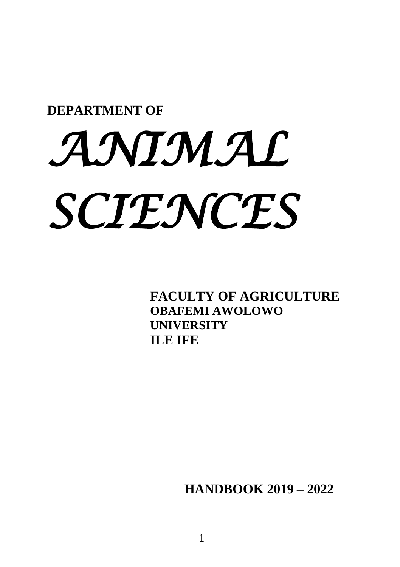## **DEPARTMENT OF**

# *ANIMAL SCIENCES*

**FACULTY OF AGRICULTURE OBAFEMI AWOLOWO UNIVERSITY ILE IFE**

**HANDBOOK 2019 – 2022**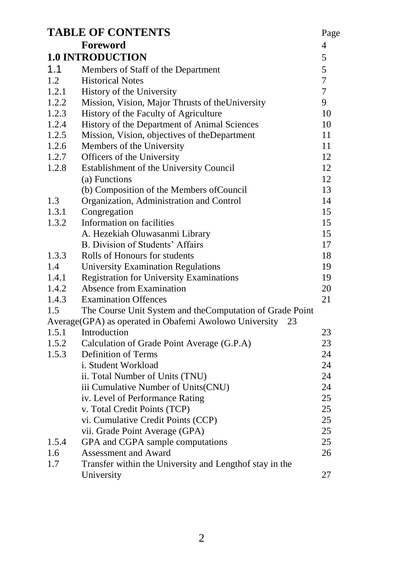|       | <b>TABLE OF CONTENTS</b>                                  | Page           |
|-------|-----------------------------------------------------------|----------------|
|       | Foreword                                                  | 4              |
|       | <b>1.0 INTRODUCTION</b>                                   | 5              |
| 1.1   | Members of Staff of the Department                        | 5              |
| 1.2   | <b>Historical Notes</b>                                   | $\overline{7}$ |
| 1.2.1 | History of the University                                 | 7              |
| 1.2.2 | Mission, Vision, Major Thrusts of the University          | 9              |
| 1.2.3 | History of the Faculty of Agriculture                     | 10             |
| 1.2.4 | History of the Department of Animal Sciences              | 10             |
| 1.2.5 | Mission, Vision, objectives of theDepartment              | 11             |
| 1.2.6 | Members of the University                                 | 11             |
| 1.2.7 | Officers of the University                                | 12             |
| 1.2.8 | Establishment of the University Council                   | 12             |
|       | (a) Functions                                             | 12             |
|       | (b) Composition of the Members of Council                 | 13             |
| 1.3   | Organization, Administration and Control                  | 14             |
| 1.3.1 | Congregation                                              | 15             |
| 1.3.2 | Information on facilities                                 | 15             |
|       | A. Hezekiah Oluwasanmi Library                            | 15             |
|       | B. Division of Students' Affairs                          | 17             |
| 1.3.3 | Rolls of Honours for students                             | 18             |
| 1.4   | <b>University Examination Regulations</b>                 | 19             |
| 1.4.1 | Registration for University Examinations                  | 19             |
| 1.4.2 | Absence from Examination                                  | 20             |
| 1.4.3 | <b>Examination Offences</b>                               | 21             |
| 1.5   | The Course Unit System and the Computation of Grade Point |                |
|       | Average(GPA) as operated in Obafemi Awolowo University 23 |                |
| 1.5.1 | Introduction                                              | 23             |
| 1.5.2 | Calculation of Grade Point Average (G.P.A)                | 23             |
| 1.5.3 | <b>Definition of Terms</b>                                | 24             |
|       | i. Student Workload                                       | 24             |
|       | ii. Total Number of Units (TNU)                           | 24             |
|       | iii Cumulative Number of Units(CNU)                       | 24             |
|       | iv. Level of Performance Rating                           | 25             |
|       | v. Total Credit Points (TCP)                              | 25             |
|       | vi. Cumulative Credit Points (CCP)                        | 25             |
|       | vii. Grade Point Average (GPA)                            | 25             |
| 1.5.4 | GPA and CGPA sample computations                          | 25             |
| 1.6   | Assessment and Award                                      | 26             |
| 1.7   | Transfer within the University and Lengthof stay in the   |                |
|       | University                                                | 27             |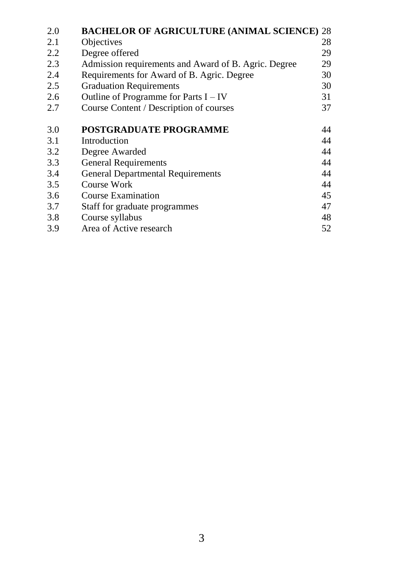| 2.0 | <b>BACHELOR OF AGRICULTURE (ANIMAL SCIENCE) 28</b>   |    |
|-----|------------------------------------------------------|----|
| 2.1 | Objectives                                           | 28 |
| 2.2 | Degree offered                                       | 29 |
| 2.3 | Admission requirements and Award of B. Agric. Degree | 29 |
| 2.4 | Requirements for Award of B. Agric. Degree           | 30 |
| 2.5 | <b>Graduation Requirements</b>                       | 30 |
| 2.6 | Outline of Programme for Parts $I - IV$              | 31 |
| 2.7 | Course Content / Description of courses              | 37 |
| 3.0 | <b>POSTGRADUATE PROGRAMME</b>                        | 44 |
| 3.1 | Introduction                                         | 44 |
| 3.2 | Degree Awarded                                       | 44 |
| 3.3 | <b>General Requirements</b>                          | 44 |
| 3.4 | General Departmental Requirements                    | 44 |
| 3.5 | Course Work                                          | 44 |
| 3.6 | Course Examination                                   | 45 |
| 3.7 | Staff for graduate programmes                        | 47 |
| 3.8 | Course syllabus                                      | 48 |
| 3.9 | Area of Active research                              | 52 |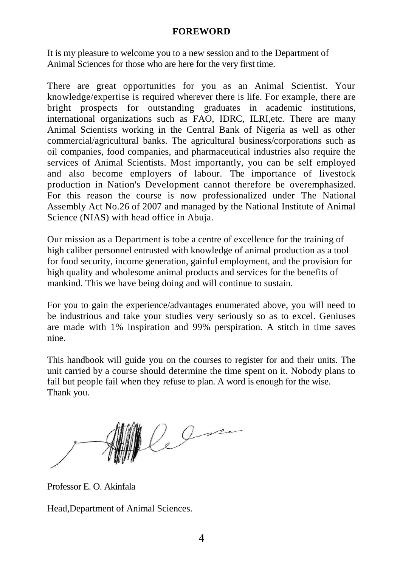#### **FOREWORD**

It is my pleasure to welcome you to a new session and to the Department of Animal Sciences for those who are here for the very first time.

There are great opportunities for you as an Animal Scientist. Your knowledge/expertise is required wherever there is life. For example, there are bright prospects for outstanding graduates in academic institutions, international organizations such as FAO, IDRC, ILRI,etc. There are many Animal Scientists working in the Central Bank of Nigeria as well as other commercial/agricultural banks. The agricultural business/corporations such as oil companies, food companies, and pharmaceutical industries also require the services of Animal Scientists. Most importantly, you can be self employed and also become employers of labour. The importance of livestock production in Nation's Development cannot therefore be overemphasized. For this reason the course is now professionalized under The National Assembly Act No.26 of 2007 and managed by the National Institute of Animal Science (NIAS) with head office in Abuja.

Our mission as a Department is tobe a centre of excellence for the training of high caliber personnel entrusted with knowledge of animal production as a tool for food security, income generation, gainful employment, and the provision for high quality and wholesome animal products and services for the benefits of mankind. This we have being doing and will continue to sustain.

For you to gain the experience/advantages enumerated above, you will need to be industrious and take your studies very seriously so as to excel. Geniuses are made with 1% inspiration and 99% perspiration. A stitch in time saves nine.

This handbook will guide you on the courses to register for and their units. The unit carried by a course should determine the time spent on it. Nobody plans to fail but people fail when they refuse to plan. A word is enough for the wise. Thank you.

lelm

Professor E. O. Akinfala

Head,Department of Animal Sciences.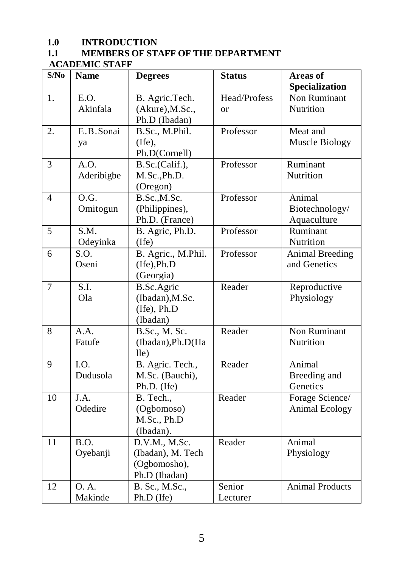## 1.0 **INTRODUCTION**<br>1.1 **MEMBERS OF ST**

#### **1.1 MEMBERS OF STAFF OF THE DEPARTMENT**

#### **ACADEMIC STAFF**

| S/No           | <b>Name</b>                   | <b>Degrees</b>                                                      | <b>Status</b>                 | <b>Areas of</b><br>Specialization       |
|----------------|-------------------------------|---------------------------------------------------------------------|-------------------------------|-----------------------------------------|
| 1.             | E.O.<br>Akinfala              | B. Agric.Tech.<br>(Akure), M.Sc.,<br>Ph.D (Ibadan)                  | Head/Profess<br><sub>or</sub> | Non Ruminant<br>Nutrition               |
| 2.             | E.B.Sonai<br>ya               | B.Sc., M.Phil.<br>(Ife),<br>Ph.D(Cornell)                           | Professor                     | Meat and<br>Muscle Biology              |
| $\mathfrak{Z}$ | A.O.<br>Aderibigbe            | B.Sc.(Calif.),<br>M.Sc., Ph.D.<br>(Oregon)                          | Professor                     | Ruminant<br>Nutrition                   |
| 4              | O.G.<br>Omitogun              | B.Sc., M.Sc.<br>(Philippines),<br>Ph.D. (France)                    | Professor                     | Animal<br>Biotechnology/<br>Aquaculture |
| 5              | $\overline{S.M.}$<br>Odeyinka | B. Agric, Ph.D.<br>(Ife)                                            | Professor                     | Ruminant<br>Nutrition                   |
| 6              | S.O.<br>Oseni                 | B. Agric., M.Phil.<br>$($ Ife $)$ , Ph.D<br>(Georgia)               | Professor                     | <b>Animal Breeding</b><br>and Genetics  |
| $\overline{7}$ | S.I.<br>Ola                   | <b>B.Sc.Agric</b><br>(Ibadan), M.Sc.<br>(Ife), Ph.D<br>(Ibadan)     | Reader                        | Reproductive<br>Physiology              |
| 8              | A.A.<br>Fatufe                | B.Sc., M. Sc.<br>(Ibadan), Ph.D(Ha<br>$l$ le $)$                    | Reader                        | Non Ruminant<br>Nutrition               |
| 9              | I.O.<br>Dudusola              | B. Agric. Tech.,<br>M.Sc. (Bauchi),<br>Ph.D. (Ife)                  | Reader                        | Animal<br>Breeding and<br>Genetics      |
| 10             | J.A.<br>Odedire               | B. Tech.,<br>(Ogbomoso)<br>M.Sc., Ph.D<br>(Ibadan).                 | Reader                        | Forage Science/<br>Animal Ecology       |
| 11             | B.O.<br>Oyebanji              | D.V.M., M.Sc.<br>(Ibadan), M. Tech<br>(Ogbomosho),<br>Ph.D (Ibadan) | Reader                        | Animal<br>Physiology                    |
| 12             | 0. A.<br>Makinde              | B. Sc., M.Sc.,<br>Ph.D (Ife)                                        | Senior<br>Lecturer            | <b>Animal Products</b>                  |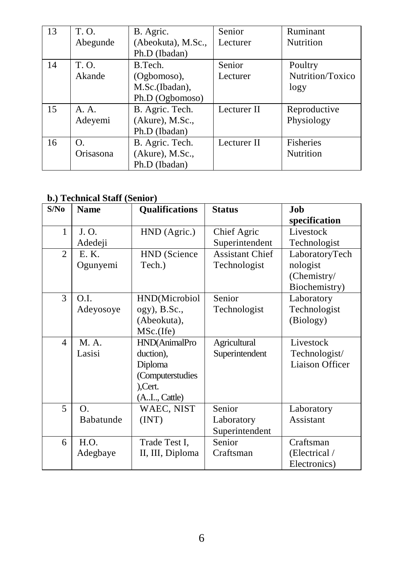| 13 | T. O.     | B. Agric.          | Senior      | Ruminant         |
|----|-----------|--------------------|-------------|------------------|
|    | Abegunde  | (Abeokuta), M.Sc., | Lecturer    | Nutrition        |
|    |           | Ph.D (Ibadan)      |             |                  |
| 14 | T. O.     | B.Tech.            | Senior      | Poultry          |
|    | Akande    | (Ogbomoso),        | Lecturer    | Nutrition/Toxico |
|    |           | M.Sc.(Ibadan),     |             | logy             |
|    |           | Ph.D (Ogbomoso)    |             |                  |
| 15 | A. A.     | B. Agric. Tech.    | Lecturer II | Reproductive     |
|    | Adeyemi   | (Akure), M.Sc.,    |             | Physiology       |
|    |           | Ph.D (Ibadan)      |             |                  |
| 16 | O.        | B. Agric. Tech.    | Lecturer II | <b>Fisheries</b> |
|    | Orisasona | (Akure), M.Sc.,    |             | Nutrition        |
|    |           | Ph.D (Ibadan)      |             |                  |

#### **b.) Technical Staff (Senior)**

| S/No           | <b>Name</b> | <b>Qualifications</b> | <b>Status</b>          | Job                    |
|----------------|-------------|-----------------------|------------------------|------------------------|
|                |             |                       |                        | specification          |
| 1              | J. O.       | HND (Agric.)          | Chief Agric            | Livestock              |
|                | Adedeji     |                       | Superintendent         | Technologist           |
| $\overline{2}$ | E. K.       | HND (Science          | <b>Assistant Chief</b> | LaboratoryTech         |
|                | Ogunyemi    | Tech.)                | Technologist           | nologist               |
|                |             |                       |                        | (Chemistry/            |
|                |             |                       |                        | Biochemistry)          |
| 3              | O.I.        | HND(Microbiol         | Senior                 | Laboratory             |
|                | Adeyosoye   | ogy), B.Sc.,          | Technologist           | Technologist           |
|                |             | (Abeokuta),           |                        | (Biology)              |
|                |             | MSc.(Ife)             |                        |                        |
| $\overline{4}$ | M. A.       | HND(AnimalPro         | Agricultural           | Livestock              |
|                | Lasisi      | duction),             | Superintendent         | Technologist/          |
|                |             | Diploma               |                        | <b>Liaison Officer</b> |
|                |             | (Computerstudies      |                        |                        |
|                |             | ),Cert.               |                        |                        |
|                |             | (AI, Cattle)          |                        |                        |
| 5              | Ο.          | WAEC, NIST            | Senior                 | Laboratory             |
|                | Babatunde   | (INT)                 | Laboratory             | Assistant              |
|                |             |                       | Superintendent         |                        |
| 6              | H.O.        | Trade Test I.         | Senior                 | Craftsman              |
|                | Adegbaye    | II, III, Diploma      | Craftsman              | (Electrical /          |
|                |             |                       |                        | Electronics)           |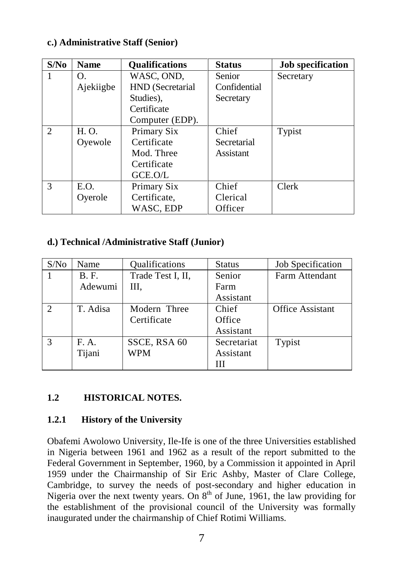#### **c.) Administrative Staff (Senior)**

| S/N <sub>0</sub> | <b>Name</b> | <b>Oualifications</b> | <b>Status</b> | Job specification |
|------------------|-------------|-----------------------|---------------|-------------------|
|                  | O.          | WASC, OND,            | <b>Senior</b> | Secretary         |
|                  | Ajekiigbe   | HND (Secretarial      | Confidential  |                   |
|                  |             | Studies).             | Secretary     |                   |
|                  |             | Certificate           |               |                   |
|                  |             | Computer (EDP).       |               |                   |
| $\mathfrak{D}$   | H. O.       | Primary Six           | Chief         | Typist            |
|                  | Ovewole     | Certificate           | Secretarial   |                   |
|                  |             | Mod. Three            | Assistant     |                   |
|                  |             | Certificate           |               |                   |
|                  |             | GCE.O/L               |               |                   |
| 3                | E.O.        | Primary Six           | Chief         | Clerk             |
|                  | Oyerole     | Certificate,          | Clerical      |                   |
|                  |             | WASC, EDP             | Officer       |                   |

#### **d.) Technical /Administrative Staff (Junior)**

| S/No                        | Name        | Qualifications    | <b>Status</b> | Job Specification       |
|-----------------------------|-------------|-------------------|---------------|-------------------------|
|                             | <b>B.F.</b> | Trade Test I, II, | Senior        | Farm Attendant          |
|                             | Adewumi     | Ш.                | Farm          |                         |
|                             |             |                   | Assistant     |                         |
| $\mathcal{D}_{\mathcal{L}}$ | T. Adisa    | Modern Three      | Chief         | <b>Office Assistant</b> |
|                             |             | Certificate       | Office        |                         |
|                             |             |                   | Assistant     |                         |
| $\mathcal{R}$               | F. A.       | SSCE, RSA 60      | Secretariat   | Typist                  |
|                             | Tijani      | WPM               | Assistant     |                         |
|                             |             |                   | ш             |                         |

#### **1.2 HISTORICAL NOTES.**

#### **1.2.1 History of the University**

Obafemi Awolowo University, Ile-Ife is one of the three Universities established in Nigeria between 1961 and 1962 as a result of the report submitted to the Federal Government in September, 1960, by a Commission it appointed in April 1959 under the Chairmanship of Sir Eric Ashby, Master of Clare College, Cambridge, to survey the needs of post-secondary and higher education in Nigeria over the next twenty years. On  $8<sup>th</sup>$  of June, 1961, the law providing for the establishment of the provisional council of the University was formally inaugurated under the chairmanship of Chief Rotimi Williams.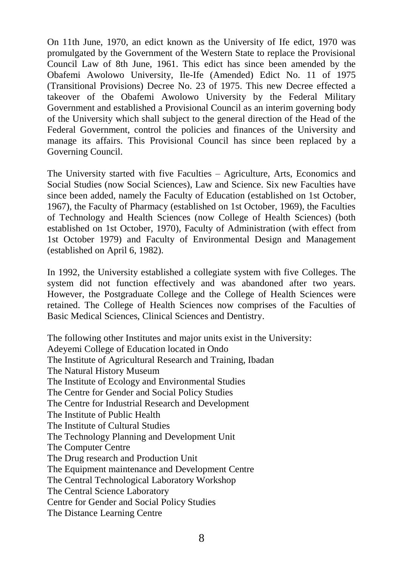On 11th June, 1970, an edict known as the University of Ife edict, 1970 was promulgated by the Government of the Western State to replace the Provisional Council Law of 8th June, 1961. This edict has since been amended by the Obafemi Awolowo University, Ile-Ife (Amended) Edict No. 11 of 1975 (Transitional Provisions) Decree No. 23 of 1975. This new Decree effected a takeover of the Obafemi Awolowo University by the Federal Military Government and established a Provisional Council as an interim governing body of the University which shall subject to the general direction of the Head of the Federal Government, control the policies and finances of the University and manage its affairs. This Provisional Council has since been replaced by a Governing Council.

The University started with five Faculties – Agriculture, Arts, Economics and Social Studies (now Social Sciences), Law and Science. Six new Faculties have since been added, namely the Faculty of Education (established on 1st October, 1967), the Faculty of Pharmacy (established on 1st October, 1969), the Faculties of Technology and Health Sciences (now College of Health Sciences) (both established on 1st October, 1970), Faculty of Administration (with effect from 1st October 1979) and Faculty of Environmental Design and Management (established on April 6, 1982).

In 1992, the University established a collegiate system with five Colleges. The system did not function effectively and was abandoned after two years. However, the Postgraduate College and the College of Health Sciences were retained. The College of Health Sciences now comprises of the Faculties of Basic Medical Sciences, Clinical Sciences and Dentistry.

The following other Institutes and major units exist in the University: Adeyemi College of Education located in Ondo The Institute of Agricultural Research and Training, Ibadan The Natural History Museum The Institute of Ecology and Environmental Studies The Centre for Gender and Social Policy Studies The Centre for Industrial Research and Development The Institute of Public Health The Institute of Cultural Studies The Technology Planning and Development Unit The Computer Centre The Drug research and Production Unit The Equipment maintenance and Development Centre The Central Technological Laboratory Workshop The Central Science Laboratory Centre for Gender and Social Policy Studies The Distance Learning Centre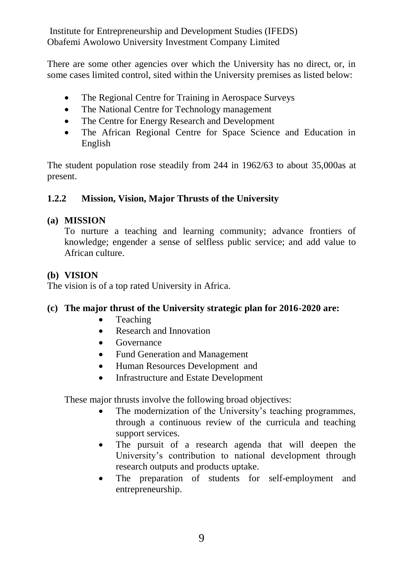Institute for Entrepreneurship and Development Studies (IFEDS) Obafemi Awolowo University Investment Company Limited

There are some other agencies over which the University has no direct, or, in some cases limited control, sited within the University premises as listed below:

- The Regional Centre for Training in Aerospace Surveys
- The National Centre for Technology management
- The Centre for Energy Research and Development
- The African Regional Centre for Space Science and Education in English

The student population rose steadily from 244 in 1962/63 to about 35,000as at present.

#### **1.2.2 Mission, Vision, Major Thrusts of the University**

#### **(a) MISSION**

To nurture a teaching and learning community; advance frontiers of knowledge; engender a sense of selfless public service; and add value to African culture.

#### **(b) VISION**

The vision is of a top rated University in Africa.

#### **(c) The major thrust of the University strategic plan for 2016-2020 are:**

- Teaching
- Research and Innovation
- Governance
- Fund Generation and Management
- Human Resources Development and
- Infrastructure and Estate Development

These major thrusts involve the following broad objectives:

- The modernization of the University's teaching programmes, through a continuous review of the curricula and teaching support services.
- The pursuit of a research agenda that will deepen the University's contribution to national development through research outputs and products uptake.
- The preparation of students for self-employment and entrepreneurship.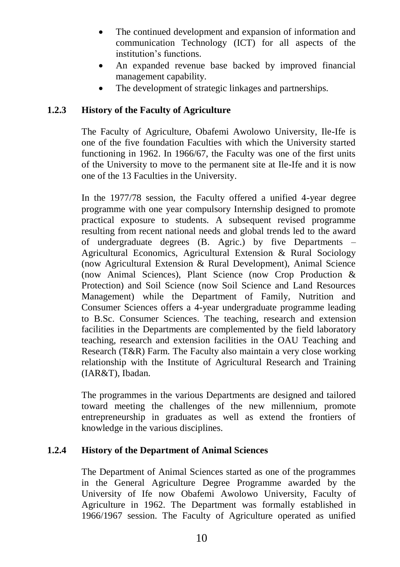- The continued development and expansion of information and communication Technology (ICT) for all aspects of the institution's functions.
- An expanded revenue base backed by improved financial management capability.
- The development of strategic linkages and partnerships.

#### **1.2.3 History of the Faculty of Agriculture**

The Faculty of Agriculture, Obafemi Awolowo University, Ile-Ife is one of the five foundation Faculties with which the University started functioning in 1962. In 1966/67, the Faculty was one of the first units of the University to move to the permanent site at Ile-Ife and it is now one of the 13 Faculties in the University.

In the 1977/78 session, the Faculty offered a unified 4-year degree programme with one year compulsory Internship designed to promote practical exposure to students. A subsequent revised programme resulting from recent national needs and global trends led to the award of undergraduate degrees (B. Agric.) by five Departments – Agricultural Economics, Agricultural Extension & Rural Sociology (now Agricultural Extension & Rural Development), Animal Science (now Animal Sciences), Plant Science (now Crop Production & Protection) and Soil Science (now Soil Science and Land Resources Management) while the Department of Family, Nutrition and Consumer Sciences offers a 4-year undergraduate programme leading to B.Sc. Consumer Sciences. The teaching, research and extension facilities in the Departments are complemented by the field laboratory teaching, research and extension facilities in the OAU Teaching and Research (T&R) Farm. The Faculty also maintain a very close working relationship with the Institute of Agricultural Research and Training (IAR&T), Ibadan.

The programmes in the various Departments are designed and tailored toward meeting the challenges of the new millennium, promote entrepreneurship in graduates as well as extend the frontiers of knowledge in the various disciplines.

#### **1.2.4 History of the Department of Animal Sciences**

The Department of Animal Sciences started as one of the programmes in the General Agriculture Degree Programme awarded by the University of Ife now Obafemi Awolowo University, Faculty of Agriculture in 1962. The Department was formally established in 1966/1967 session. The Faculty of Agriculture operated as unified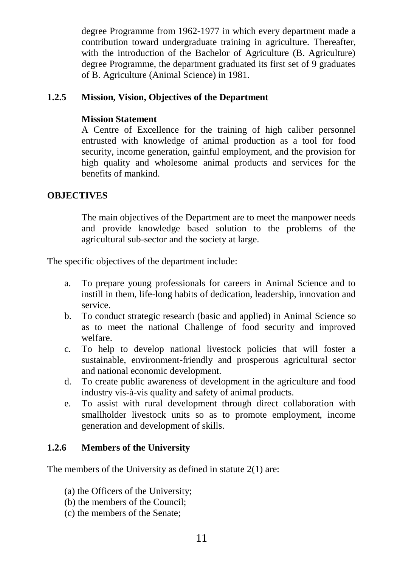degree Programme from 1962-1977 in which every department made a contribution toward undergraduate training in agriculture. Thereafter, with the introduction of the Bachelor of Agriculture (B. Agriculture) degree Programme, the department graduated its first set of 9 graduates of B. Agriculture (Animal Science) in 1981.

#### **1.2.5 Mission, Vision, Objectives of the Department**

#### **Mission Statement**

A Centre of Excellence for the training of high caliber personnel entrusted with knowledge of animal production as a tool for food security, income generation, gainful employment, and the provision for high quality and wholesome animal products and services for the benefits of mankind.

#### **OBJECTIVES**

The main objectives of the Department are to meet the manpower needs and provide knowledge based solution to the problems of the agricultural sub-sector and the society at large.

The specific objectives of the department include:

- a. To prepare young professionals for careers in Animal Science and to instill in them, life-long habits of dedication, leadership, innovation and service.
- b. To conduct strategic research (basic and applied) in Animal Science so as to meet the national Challenge of food security and improved welfare.
- c. To help to develop national livestock policies that will foster a sustainable, environment-friendly and prosperous agricultural sector and national economic development.
- d. To create public awareness of development in the agriculture and food industry vis-à-vis quality and safety of animal products.
- e. To assist with rural development through direct collaboration with smallholder livestock units so as to promote employment, income generation and development of skills.

#### **1.2.6 Members of the University**

The members of the University as defined in statute 2(1) are:

- (a) the Officers of the University;
- (b) the members of the Council;
- (c) the members of the Senate;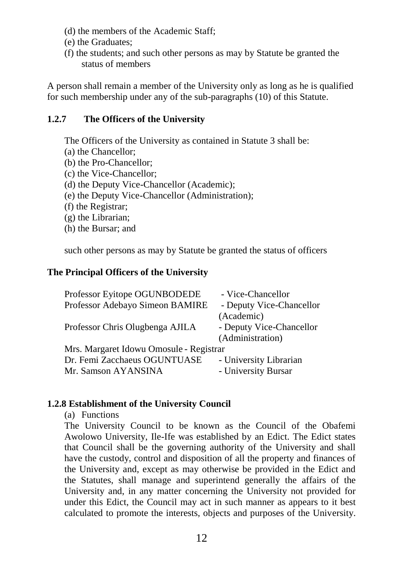- (d) the members of the Academic Staff;
- (e) the Graduates;
- (f) the students; and such other persons as may by Statute be granted the status of members

A person shall remain a member of the University only as long as he is qualified for such membership under any of the sub-paragraphs (10) of this Statute.

#### **1.2.7 The Officers of the University**

The Officers of the University as contained in Statute 3 shall be:

- (a) the Chancellor;
- (b) the Pro-Chancellor;
- (c) the Vice-Chancellor;
- (d) the Deputy Vice-Chancellor (Academic);
- (e) the Deputy Vice-Chancellor (Administration);
- (f) the Registrar;
- (g) the Librarian;
- (h) the Bursar; and

such other persons as may by Statute be granted the status of officers

#### **The Principal Officers of the University**

| Professor Eyitope OGUNBODEDE            | - Vice-Chancellor        |
|-----------------------------------------|--------------------------|
| Professor Adebayo Simeon BAMIRE         | - Deputy Vice-Chancellor |
|                                         | (Academic)               |
| Professor Chris Olugbenga AJILA         | - Deputy Vice-Chancellor |
|                                         | (Administration)         |
| Mrs. Margaret Idowu Omosule - Registrar |                          |
| Dr. Femi Zacchaeus OGUNTUASE            | - University Librarian   |
| Mr. Samson AYANSINA                     | - University Bursar      |

#### **1.2.8 Establishment of the University Council**

(a) Functions

The University Council to be known as the Council of the Obafemi Awolowo University, Ile-Ife was established by an Edict. The Edict states that Council shall be the governing authority of the University and shall have the custody, control and disposition of all the property and finances of the University and, except as may otherwise be provided in the Edict and the Statutes, shall manage and superintend generally the affairs of the University and, in any matter concerning the University not provided for under this Edict, the Council may act in such manner as appears to it best calculated to promote the interests, objects and purposes of the University.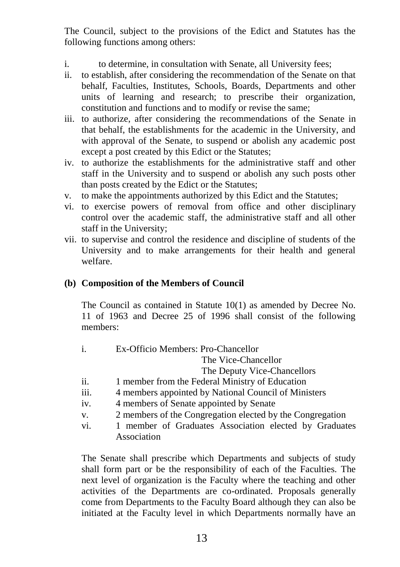The Council, subject to the provisions of the Edict and Statutes has the following functions among others:

- i. to determine, in consultation with Senate, all University fees;
- ii. to establish, after considering the recommendation of the Senate on that behalf, Faculties, Institutes, Schools, Boards, Departments and other units of learning and research; to prescribe their organization, constitution and functions and to modify or revise the same;
- iii. to authorize, after considering the recommendations of the Senate in that behalf, the establishments for the academic in the University, and with approval of the Senate, to suspend or abolish any academic post except a post created by this Edict or the Statutes;
- iv. to authorize the establishments for the administrative staff and other staff in the University and to suspend or abolish any such posts other than posts created by the Edict or the Statutes;
- v. to make the appointments authorized by this Edict and the Statutes;
- vi. to exercise powers of removal from office and other disciplinary control over the academic staff, the administrative staff and all other staff in the University;
- vii. to supervise and control the residence and discipline of students of the University and to make arrangements for their health and general welfare.

#### **(b) Composition of the Members of Council**

The Council as contained in Statute 10(1) as amended by Decree No. 11 of 1963 and Decree 25 of 1996 shall consist of the following members:

i. Ex-Officio Members: Pro-Chancellor

The Vice-Chancellor

The Deputy Vice-Chancellors

- ii. 1 member from the Federal Ministry of Education
- iii. 4 members appointed by National Council of Ministers
- iv. 4 members of Senate appointed by Senate
- v. 2 members of the Congregation elected by the Congregation
- vi. 1 member of Graduates Association elected by Graduates Association

The Senate shall prescribe which Departments and subjects of study shall form part or be the responsibility of each of the Faculties. The next level of organization is the Faculty where the teaching and other activities of the Departments are co-ordinated. Proposals generally come from Departments to the Faculty Board although they can also be initiated at the Faculty level in which Departments normally have an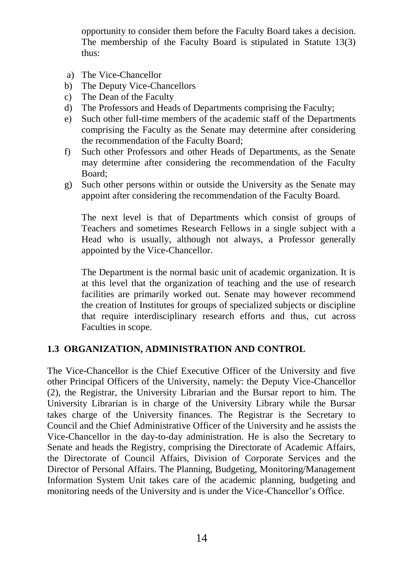opportunity to consider them before the Faculty Board takes a decision. The membership of the Faculty Board is stipulated in Statute 13(3) thus:

- a) The Vice-Chancellor
- b) The Deputy Vice-Chancellors
- c) The Dean of the Faculty
- d) The Professors and Heads of Departments comprising the Faculty;
- e) Such other full-time members of the academic staff of the Departments comprising the Faculty as the Senate may determine after considering the recommendation of the Faculty Board;
- f) Such other Professors and other Heads of Departments, as the Senate may determine after considering the recommendation of the Faculty Board;
- g) Such other persons within or outside the University as the Senate may appoint after considering the recommendation of the Faculty Board.

The next level is that of Departments which consist of groups of Teachers and sometimes Research Fellows in a single subject with a Head who is usually, although not always, a Professor generally appointed by the Vice-Chancellor.

The Department is the normal basic unit of academic organization. It is at this level that the organization of teaching and the use of research facilities are primarily worked out. Senate may however recommend the creation of Institutes for groups of specialized subjects or discipline that require interdisciplinary research efforts and thus, cut across Faculties in scope.

#### **1.3 ORGANIZATION, ADMINISTRATION AND CONTROL**

The Vice-Chancellor is the Chief Executive Officer of the University and five other Principal Officers of the University, namely: the Deputy Vice-Chancellor (2), the Registrar, the University Librarian and the Bursar report to him. The University Librarian is in charge of the University Library while the Bursar takes charge of the University finances. The Registrar is the Secretary to Council and the Chief Administrative Officer of the University and he assists the Vice-Chancellor in the day-to-day administration. He is also the Secretary to Senate and heads the Registry, comprising the Directorate of Academic Affairs, the Directorate of Council Affairs, Division of Corporate Services and the Director of Personal Affairs. The Planning, Budgeting, Monitoring/Management Information System Unit takes care of the academic planning, budgeting and monitoring needs of the University and is under the Vice-Chancellor's Office.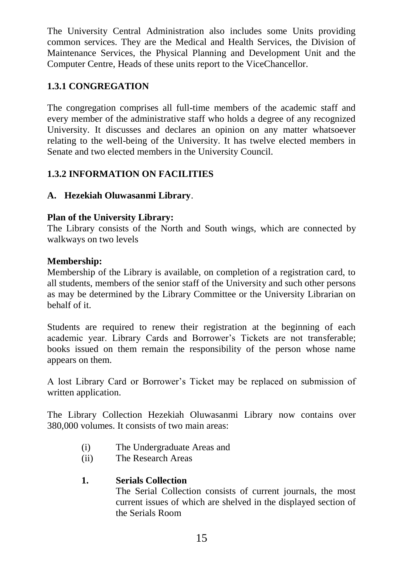The University Central Administration also includes some Units providing common services. They are the Medical and Health Services, the Division of Maintenance Services, the Physical Planning and Development Unit and the Computer Centre, Heads of these units report to the ViceChancellor.

#### **1.3.1 CONGREGATION**

The congregation comprises all full-time members of the academic staff and every member of the administrative staff who holds a degree of any recognized University. It discusses and declares an opinion on any matter whatsoever relating to the well-being of the University. It has twelve elected members in Senate and two elected members in the University Council.

#### **1.3.2 INFORMATION ON FACILITIES**

#### **A. Hezekiah Oluwasanmi Library**.

#### **Plan of the University Library:**

The Library consists of the North and South wings, which are connected by walkways on two levels

#### **Membership:**

Membership of the Library is available, on completion of a registration card, to all students, members of the senior staff of the University and such other persons as may be determined by the Library Committee or the University Librarian on behalf of it.

Students are required to renew their registration at the beginning of each academic year. Library Cards and Borrower's Tickets are not transferable; books issued on them remain the responsibility of the person whose name appears on them.

A lost Library Card or Borrower's Ticket may be replaced on submission of written application.

The Library Collection Hezekiah Oluwasanmi Library now contains over 380,000 volumes. It consists of two main areas:

- (i) The Undergraduate Areas and
- (ii) The Research Areas

#### **1. Serials Collection**

The Serial Collection consists of current journals, the most current issues of which are shelved in the displayed section of the Serials Room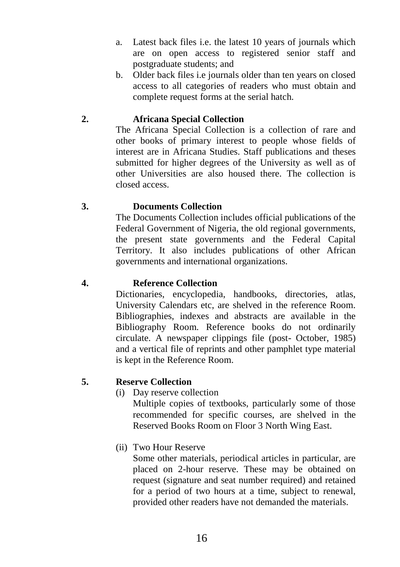- a. Latest back files i.e. the latest 10 years of journals which are on open access to registered senior staff and postgraduate students; and
- b. Older back files i.e journals older than ten years on closed access to all categories of readers who must obtain and complete request forms at the serial hatch.

#### **2. Africana Special Collection**

The Africana Special Collection is a collection of rare and other books of primary interest to people whose fields of interest are in Africana Studies. Staff publications and theses submitted for higher degrees of the University as well as of other Universities are also housed there. The collection is closed access.

#### **3. Documents Collection**

The Documents Collection includes official publications of the Federal Government of Nigeria, the old regional governments, the present state governments and the Federal Capital Territory. It also includes publications of other African governments and international organizations.

#### **4. Reference Collection**

Dictionaries, encyclopedia, handbooks, directories, atlas, University Calendars etc, are shelved in the reference Room. Bibliographies, indexes and abstracts are available in the Bibliography Room. Reference books do not ordinarily circulate. A newspaper clippings file (post- October, 1985) and a vertical file of reprints and other pamphlet type material is kept in the Reference Room.

#### **5. Reserve Collection**

(i) Day reserve collection

Multiple copies of textbooks, particularly some of those recommended for specific courses, are shelved in the Reserved Books Room on Floor 3 North Wing East.

(ii) Two Hour Reserve

Some other materials, periodical articles in particular, are placed on 2-hour reserve. These may be obtained on request (signature and seat number required) and retained for a period of two hours at a time, subject to renewal, provided other readers have not demanded the materials.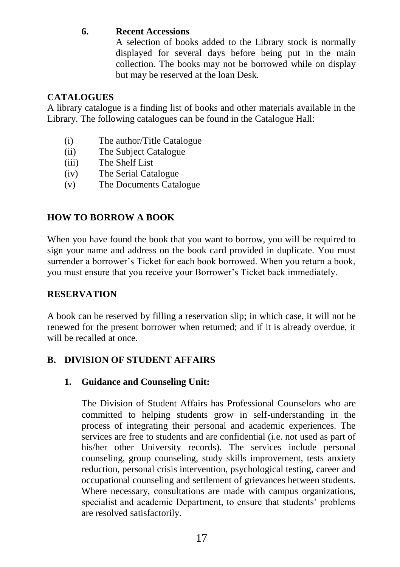#### **6. Recent Accessions**

A selection of books added to the Library stock is normally displayed for several days before being put in the main collection. The books may not be borrowed while on display but may be reserved at the loan Desk.

#### **CATALOGUES**

A library catalogue is a finding list of books and other materials available in the Library. The following catalogues can be found in the Catalogue Hall:

- (i) The author/Title Catalogue
- (ii) The Subject Catalogue
- (iii) The Shelf List
- (iv) The Serial Catalogue
- (v) The Documents Catalogue

#### **HOW TO BORROW A BOOK**

When you have found the book that you want to borrow, you will be required to sign your name and address on the book card provided in duplicate. You must surrender a borrower's Ticket for each book borrowed. When you return a book, you must ensure that you receive your Borrower's Ticket back immediately.

#### **RESERVATION**

A book can be reserved by filling a reservation slip; in which case, it will not be renewed for the present borrower when returned; and if it is already overdue, it will be recalled at once.

#### **B. DIVISION OF STUDENT AFFAIRS**

#### **1. Guidance and Counseling Unit:**

The Division of Student Affairs has Professional Counselors who are committed to helping students grow in self-understanding in the process of integrating their personal and academic experiences. The services are free to students and are confidential (i.e. not used as part of his/her other University records). The services include personal counseling, group counseling, study skills improvement, tests anxiety reduction, personal crisis intervention, psychological testing, career and occupational counseling and settlement of grievances between students. Where necessary, consultations are made with campus organizations, specialist and academic Department, to ensure that students' problems are resolved satisfactorily.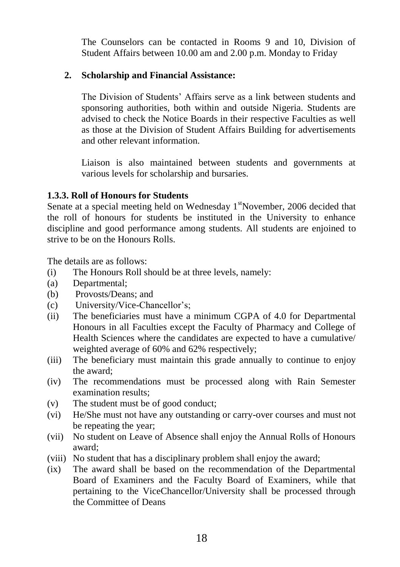The Counselors can be contacted in Rooms 9 and 10, Division of Student Affairs between 10.00 am and 2.00 p.m. Monday to Friday

#### **2. Scholarship and Financial Assistance:**

The Division of Students' Affairs serve as a link between students and sponsoring authorities, both within and outside Nigeria. Students are advised to check the Notice Boards in their respective Faculties as well as those at the Division of Student Affairs Building for advertisements and other relevant information.

Liaison is also maintained between students and governments at various levels for scholarship and bursaries.

#### **1.3.3. Roll of Honours for Students**

Senate at a special meeting held on Wednesday  $1<sup>st</sup>$ November, 2006 decided that the roll of honours for students be instituted in the University to enhance discipline and good performance among students. All students are enjoined to strive to be on the Honours Rolls.

The details are as follows:

- (i) The Honours Roll should be at three levels, namely:
- (a) Departmental;
- (b) Provosts/Deans; and
- (c) University/Vice-Chancellor's;
- (ii) The beneficiaries must have a minimum CGPA of 4.0 for Departmental Honours in all Faculties except the Faculty of Pharmacy and College of Health Sciences where the candidates are expected to have a cumulative/ weighted average of 60% and 62% respectively;
- (iii) The beneficiary must maintain this grade annually to continue to enjoy the award;
- (iv) The recommendations must be processed along with Rain Semester examination results;
- (v) The student must be of good conduct;
- (vi) He/She must not have any outstanding or carry-over courses and must not be repeating the year;
- (vii) No student on Leave of Absence shall enjoy the Annual Rolls of Honours award;
- (viii) No student that has a disciplinary problem shall enjoy the award;
- (ix) The award shall be based on the recommendation of the Departmental Board of Examiners and the Faculty Board of Examiners, while that pertaining to the ViceChancellor/University shall be processed through the Committee of Deans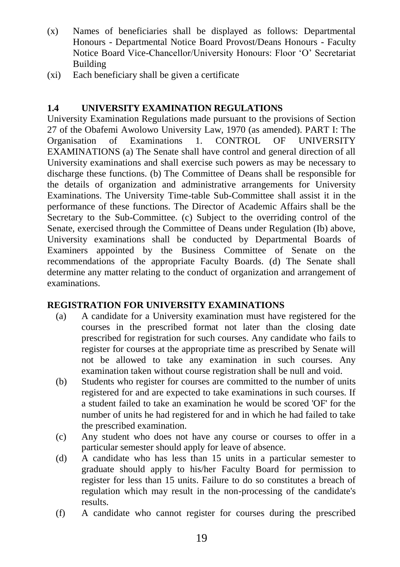- (x) Names of beneficiaries shall be displayed as follows: Departmental Honours - Departmental Notice Board Provost/Deans Honours - Faculty Notice Board Vice-Chancellor/University Honours: Floor 'O' Secretariat Building
- (xi) Each beneficiary shall be given a certificate

#### **1.4 UNIVERSITY EXAMINATION REGULATIONS**

University Examination Regulations made pursuant to the provisions of Section 27 of the Obafemi Awolowo University Law, 1970 (as amended). PART I: The Organisation of Examinations 1. CONTROL OF UNIVERSITY EXAMINATIONS (a) The Senate shall have control and general direction of all University examinations and shall exercise such powers as may be necessary to discharge these functions. (b) The Committee of Deans shall be responsible for the details of organization and administrative arrangements for University Examinations. The University Time-table Sub-Committee shall assist it in the performance of these functions. The Director of Academic Affairs shall be the Secretary to the Sub-Committee. (c) Subject to the overriding control of the Senate, exercised through the Committee of Deans under Regulation (Ib) above, University examinations shall be conducted by Departmental Boards of Examiners appointed by the Business Committee of Senate on the recommendations of the appropriate Faculty Boards. (d) The Senate shall determine any matter relating to the conduct of organization and arrangement of examinations.

#### **REGISTRATION FOR UNIVERSITY EXAMINATIONS**

- (a) A candidate for a University examination must have registered for the courses in the prescribed format not later than the closing date prescribed for registration for such courses. Any candidate who fails to register for courses at the appropriate time as prescribed by Senate will not be allowed to take any examination in such courses. Any examination taken without course registration shall be null and void.
- (b) Students who register for courses are committed to the number of units registered for and are expected to take examinations in such courses. If a student failed to take an examination he would be scored 'OF' for the number of units he had registered for and in which he had failed to take the prescribed examination.
- (c) Any student who does not have any course or courses to offer in a particular semester should apply for leave of absence.
- (d) A candidate who has less than 15 units in a particular semester to graduate should apply to his/her Faculty Board for permission to register for less than 15 units. Failure to do so constitutes a breach of regulation which may result in the non-processing of the candidate's results.
- (f) A candidate who cannot register for courses during the prescribed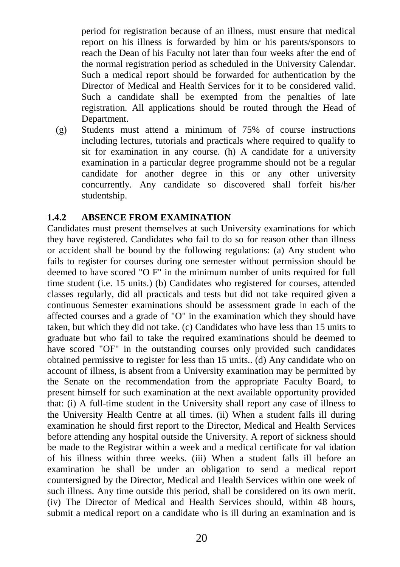period for registration because of an illness, must ensure that medical report on his illness is forwarded by him or his parents/sponsors to reach the Dean of his Faculty not later than four weeks after the end of the normal registration period as scheduled in the University Calendar. Such a medical report should be forwarded for authentication by the Director of Medical and Health Services for it to be considered valid. Such a candidate shall be exempted from the penalties of late registration. All applications should be routed through the Head of Department.

(g) Students must attend a minimum of 75% of course instructions including lectures, tutorials and practicals where required to qualify to sit for examination in any course. (h) A candidate for a university examination in a particular degree programme should not be a regular candidate for another degree in this or any other university concurrently. Any candidate so discovered shall forfeit his/her studentship.

#### **1.4.2 ABSENCE FROM EXAMINATION**

Candidates must present themselves at such University examinations for which they have registered. Candidates who fail to do so for reason other than illness or accident shall be bound by the following regulations: (a) Any student who fails to register for courses during one semester without permission should be deemed to have scored "O F" in the minimum number of units required for full time student (i.e. 15 units.) (b) Candidates who registered for courses, attended classes regularly, did all practicals and tests but did not take required given a continuous Semester examinations should be assessment grade in each of the affected courses and a grade of "O" in the examination which they should have taken, but which they did not take. (c) Candidates who have less than 15 units to graduate but who fail to take the required examinations should be deemed to have scored "OF" in the outstanding courses only provided such candidates obtained permissive to register for less than 15 units.. (d) Any candidate who on account of illness, is absent from a University examination may be permitted by the Senate on the recommendation from the appropriate Faculty Board, to present himself for such examination at the next available opportunity provided that: (i) A full-time student in the University shall report any case of illness to the University Health Centre at all times. (ii) When a student falls ill during examination he should first report to the Director, Medical and Health Services before attending any hospital outside the University. A report of sickness should be made to the Registrar within a week and a medical certificate for val idation of his illness within three weeks. (iii) When a student falls ill before an examination he shall be under an obligation to send a medical report countersigned by the Director, Medical and Health Services within one week of such illness. Any time outside this period, shall be considered on its own merit. (iv) The Director of Medical and Health Services should, within 48 hours, submit a medical report on a candidate who is ill during an examination and is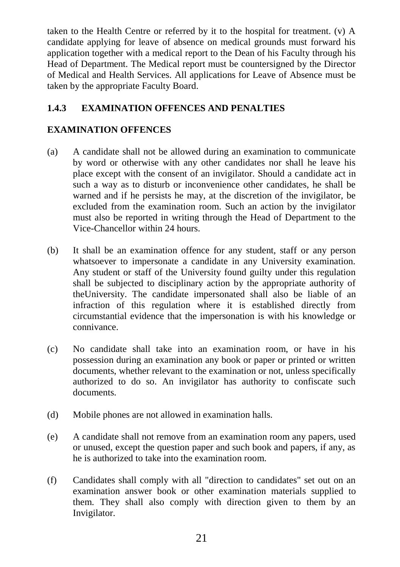taken to the Health Centre or referred by it to the hospital for treatment. (v) A candidate applying for leave of absence on medical grounds must forward his application together with a medical report to the Dean of his Faculty through his Head of Department. The Medical report must be countersigned by the Director of Medical and Health Services. All applications for Leave of Absence must be taken by the appropriate Faculty Board.

#### **1.4.3 EXAMINATION OFFENCES AND PENALTIES**

#### **EXAMINATION OFFENCES**

- (a) A candidate shall not be allowed during an examination to communicate by word or otherwise with any other candidates nor shall he leave his place except with the consent of an invigilator. Should a candidate act in such a way as to disturb or inconvenience other candidates, he shall be warned and if he persists he may, at the discretion of the invigilator, be excluded from the examination room. Such an action by the invigilator must also be reported in writing through the Head of Department to the Vice-Chancellor within 24 hours.
- (b) It shall be an examination offence for any student, staff or any person whatsoever to impersonate a candidate in any University examination. Any student or staff of the University found guilty under this regulation shall be subjected to disciplinary action by the appropriate authority of theUniversity. The candidate impersonated shall also be liable of an infraction of this regulation where it is established directly from circumstantial evidence that the impersonation is with his knowledge or connivance.
- (c) No candidate shall take into an examination room, or have in his possession during an examination any book or paper or printed or written documents, whether relevant to the examination or not, unless specifically authorized to do so. An invigilator has authority to confiscate such documents.
- (d) Mobile phones are not allowed in examination halls.
- (e) A candidate shall not remove from an examination room any papers, used or unused, except the question paper and such book and papers, if any, as he is authorized to take into the examination room.
- (f) Candidates shall comply with all "direction to candidates" set out on an examination answer book or other examination materials supplied to them. They shall also comply with direction given to them by an Invigilator.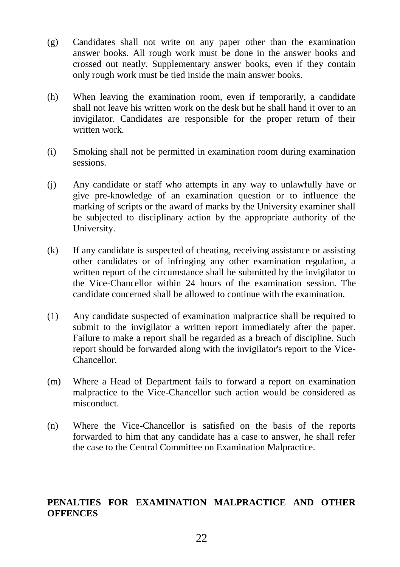- (g) Candidates shall not write on any paper other than the examination answer books. All rough work must be done in the answer books and crossed out neatly. Supplementary answer books, even if they contain only rough work must be tied inside the main answer books.
- (h) When leaving the examination room, even if temporarily, a candidate shall not leave his written work on the desk but he shall hand it over to an invigilator. Candidates are responsible for the proper return of their written work.
- (i) Smoking shall not be permitted in examination room during examination sessions.
- (j) Any candidate or staff who attempts in any way to unlawfully have or give pre-knowledge of an examination question or to influence the marking of scripts or the award of marks by the University examiner shall be subjected to disciplinary action by the appropriate authority of the University.
- (k) If any candidate is suspected of cheating, receiving assistance or assisting other candidates or of infringing any other examination regulation, a written report of the circumstance shall be submitted by the invigilator to the Vice-Chancellor within 24 hours of the examination session. The candidate concerned shall be allowed to continue with the examination.
- (1) Any candidate suspected of examination malpractice shall be required to submit to the invigilator a written report immediately after the paper. Failure to make a report shall be regarded as a breach of discipline. Such report should be forwarded along with the invigilator's report to the Vice-Chancellor.
- (m) Where a Head of Department fails to forward a report on examination malpractice to the Vice-Chancellor such action would be considered as misconduct.
- (n) Where the Vice-Chancellor is satisfied on the basis of the reports forwarded to him that any candidate has a case to answer, he shall refer the case to the Central Committee on Examination Malpractice.

#### **PENALTIES FOR EXAMINATION MALPRACTICE AND OTHER OFFENCES**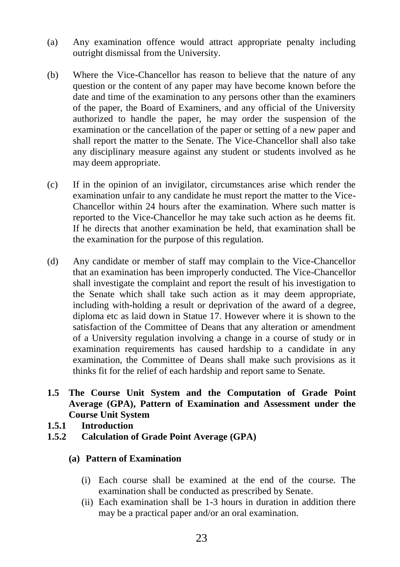- (a) Any examination offence would attract appropriate penalty including outright dismissal from the University.
- (b) Where the Vice-Chancellor has reason to believe that the nature of any question or the content of any paper may have become known before the date and time of the examination to any persons other than the examiners of the paper, the Board of Examiners, and any official of the University authorized to handle the paper, he may order the suspension of the examination or the cancellation of the paper or setting of a new paper and shall report the matter to the Senate. The Vice-Chancellor shall also take any disciplinary measure against any student or students involved as he may deem appropriate.
- (c) If in the opinion of an invigilator, circumstances arise which render the examination unfair to any candidate he must report the matter to the Vice-Chancellor within 24 hours after the examination. Where such matter is reported to the Vice-Chancellor he may take such action as he deems fit. If he directs that another examination be held, that examination shall be the examination for the purpose of this regulation.
- (d) Any candidate or member of staff may complain to the Vice-Chancellor that an examination has been improperly conducted. The Vice-Chancellor shall investigate the complaint and report the result of his investigation to the Senate which shall take such action as it may deem appropriate, including with-holding a result or deprivation of the award of a degree, diploma etc as laid down in Statue 17. However where it is shown to the satisfaction of the Committee of Deans that any alteration or amendment of a University regulation involving a change in a course of study or in examination requirements has caused hardship to a candidate in any examination, the Committee of Deans shall make such provisions as it thinks fit for the relief of each hardship and report same to Senate.
- **1.5 The Course Unit System and the Computation of Grade Point Average (GPA), Pattern of Examination and Assessment under the Course Unit System**
- **1.5.1 Introduction**
- **1.5.2 Calculation of Grade Point Average (GPA)**

#### **(a) Pattern of Examination**

- (i) Each course shall be examined at the end of the course. The examination shall be conducted as prescribed by Senate.
- (ii) Each examination shall be 1-3 hours in duration in addition there may be a practical paper and/or an oral examination.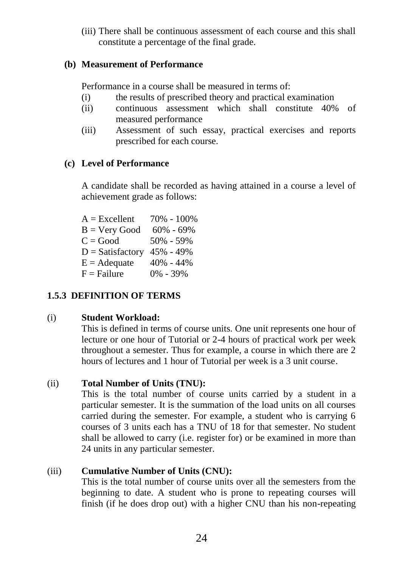(iii) There shall be continuous assessment of each course and this shall constitute a percentage of the final grade.

#### **(b) Measurement of Performance**

Performance in a course shall be measured in terms of:

- (i) the results of prescribed theory and practical examination
- (ii) continuous assessment which shall constitute 40% of measured performance
- (iii) Assessment of such essay, practical exercises and reports prescribed for each course.

#### **(c) Level of Performance**

A candidate shall be recorded as having attained in a course a level of achievement grade as follows:

| $A = Excellent$        | 70% - 100%    |
|------------------------|---------------|
| $B = V$ ery Good       | $60\% - 69\%$ |
| $C = Good$             | $50\% - 59\%$ |
| $D = Satisfactory$     | 45% - 49%     |
| $E = \text{A}$ dequate | $40\% - 44\%$ |
| $F = F \text{ailure}$  | 0% - 39%      |

#### **1.5.3 DEFINITION OF TERMS**

#### (i) **Student Workload:**

This is defined in terms of course units. One unit represents one hour of lecture or one hour of Tutorial or 2-4 hours of practical work per week throughout a semester. Thus for example, a course in which there are 2 hours of lectures and 1 hour of Tutorial per week is a 3 unit course.

#### (ii) **Total Number of Units (TNU):**

This is the total number of course units carried by a student in a particular semester. It is the summation of the load units on all courses carried during the semester. For example, a student who is carrying 6 courses of 3 units each has a TNU of 18 for that semester. No student shall be allowed to carry (i.e. register for) or be examined in more than 24 units in any particular semester.

#### (iii) **Cumulative Number of Units (CNU):**

This is the total number of course units over all the semesters from the beginning to date. A student who is prone to repeating courses will finish (if he does drop out) with a higher CNU than his non-repeating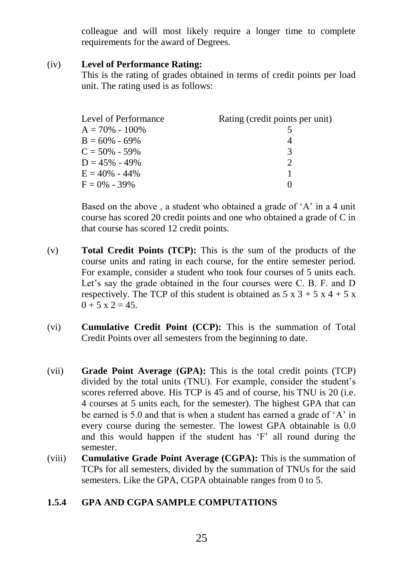colleague and will most likely require a longer time to complete requirements for the award of Degrees.

#### (iv) **Level of Performance Rating:**

This is the rating of grades obtained in terms of credit points per load unit. The rating used is as follows:

| Level of Performance | Rating (credit points per unit) |
|----------------------|---------------------------------|
| $A = 70\% - 100\%$   |                                 |
| $B = 60\% - 69\%$    |                                 |
| $C = 50\% - 59\%$    | 3                               |
| $D = 45\% - 49\%$    |                                 |
| $E = 40\% - 44\%$    |                                 |
| $F = 0\% - 39\%$     |                                 |

Based on the above , a student who obtained a grade of 'A' in a 4 unit course has scored 20 credit points and one who obtained a grade of C in that course has scored 12 credit points.

- (v) **Total Credit Points (TCP):** This is the sum of the products of the course units and rating in each course, for the entire semester period. For example, consider a student who took four courses of 5 units each. Let's say the grade obtained in the four courses were C. B. F. and D respectively. The TCP of this student is obtained as  $5 \times 3 + 5 \times 4 + 5 \times$  $0 + 5 \times 2 = 45.$
- (vi) **Cumulative Credit Point (CCP):** This is the summation of Total Credit Points over all semesters from the beginning to date.
- (vii) **Grade Point Average (GPA):** This is the total credit points (TCP) divided by the total units (TNU). For example, consider the student's scores referred above. His TCP is 45 and of course, his TNU is 20 (i.e. 4 courses at 5 units each, for the semester). The highest GPA that can be earned is 5.0 and that is when a student has earned a grade of 'A' in every course during the semester. The lowest GPA obtainable is 0.0 and this would happen if the student has 'F' all round during the semester.
- (viii) **Cumulative Grade Point Average (CGPA):** This is the summation of TCPs for all semesters, divided by the summation of TNUs for the said semesters. Like the GPA, CGPA obtainable ranges from 0 to 5.

#### **1.5.4 GPA AND CGPA SAMPLE COMPUTATIONS**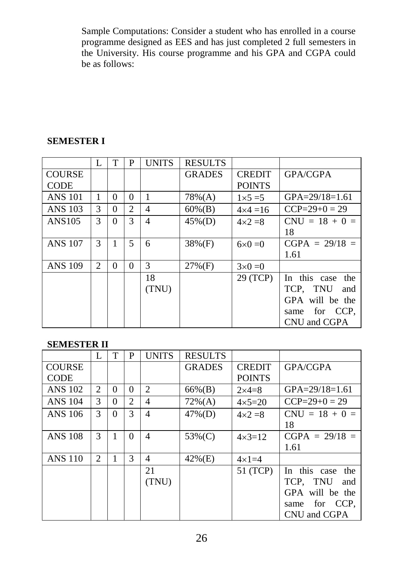Sample Computations: Consider a student who has enrolled in a course programme designed as EES and has just completed 2 full semesters in the University. His course programme and his GPA and CGPA could be as follows:

#### **SEMESTER I**

|                | L              | T        | P              | <b>UNITS</b> | <b>RESULTS</b> |                   |                      |
|----------------|----------------|----------|----------------|--------------|----------------|-------------------|----------------------|
| <b>COURSE</b>  |                |          |                |              | <b>GRADES</b>  | <b>CREDIT</b>     | <b>GPA/CGPA</b>      |
| <b>CODE</b>    |                |          |                |              |                | <b>POINTS</b>     |                      |
| <b>ANS 101</b> | 1              | $\Omega$ | 0              |              | $78\%(A)$      | $1\times 5=5$     | $GPA = 29/18 = 1.61$ |
| <b>ANS 103</b> | 3              | 0        | $\mathfrak{D}$ | 4            | $60\%(B)$      | $4 \times 4 = 16$ | $CCP=29+0=29$        |
| ANS105         | 3              | $\Omega$ | 3              | 4            | $45\%(D)$      | $4\times2=8$      | $CNU = 18 + 0 =$     |
|                |                |          |                |              |                |                   | 18                   |
| <b>ANS 107</b> | 3              | 1        | 5              | 6            | $38\%(F)$      | $6\times 0=0$     | $CGPA = 29/18 =$     |
|                |                |          |                |              |                |                   | 1.61                 |
| <b>ANS 109</b> | $\mathfrak{D}$ | 0        | 0              | 3            | $27\%$ (F)     | $3\times0=0$      |                      |
|                |                |          |                | 18           |                | 29 (TCP)          | In this case the     |
|                |                |          |                | (TNU)        |                |                   | TCP. TNU<br>and      |
|                |                |          |                |              |                |                   | GPA will be the      |
|                |                |          |                |              |                |                   | for CCP,<br>same     |
|                |                |          |                |              |                |                   | CNU and CGPA         |

#### **SEMESTER II**

|                | L              |          | P              | <b>UNITS</b>   | <b>RESULTS</b> |                   |                      |
|----------------|----------------|----------|----------------|----------------|----------------|-------------------|----------------------|
| <b>COURSE</b>  |                |          |                |                | <b>GRADES</b>  | <b>CREDIT</b>     | GPA/CGPA             |
| <b>CODE</b>    |                |          |                |                |                | <b>POINTS</b>     |                      |
| <b>ANS 102</b> | $\overline{c}$ | $\Omega$ | 0              | 2              | 66%(B)         | $2\times 4=8$     | $GPA = 29/18 = 1.61$ |
| ANS 104        | 3              | $\Omega$ | $\mathfrak{D}$ | $\overline{4}$ | $72\%(A)$      | $4 \times 5 = 20$ | $CCP=29+0=29$        |
| ANS 106        | 3              | $\Omega$ | 3              | 4              | $47\%$ (D)     | $4\times2=8$      | $CNU = 18 + 0 =$     |
|                |                |          |                |                |                |                   | 18                   |
| <b>ANS 108</b> | 3              | 1        | 0              | 4              | 53%(C)         | $4 \times 3 = 12$ | $CGPA = 29/18 =$     |
|                |                |          |                |                |                |                   | 1.61                 |
| <b>ANS 110</b> | 2              | 1        | 3              | 4              | $42\%$ (E)     | $4\times1=4$      |                      |
|                |                |          |                | 21             |                | 51 (TCP)          | In this case<br>the  |
|                |                |          |                | (TNU)          |                |                   | TCP. TNU<br>and      |
|                |                |          |                |                |                |                   | GPA will be the      |
|                |                |          |                |                |                |                   | for CCP.<br>same     |
|                |                |          |                |                |                |                   | CNU and CGPA         |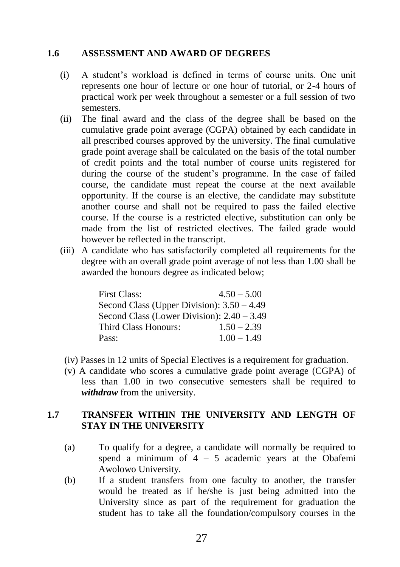#### **1.6 ASSESSMENT AND AWARD OF DEGREES**

- (i) A student's workload is defined in terms of course units. One unit represents one hour of lecture or one hour of tutorial, or 2-4 hours of practical work per week throughout a semester or a full session of two semesters.
- (ii) The final award and the class of the degree shall be based on the cumulative grade point average (CGPA) obtained by each candidate in all prescribed courses approved by the university. The final cumulative grade point average shall be calculated on the basis of the total number of credit points and the total number of course units registered for during the course of the student's programme. In the case of failed course, the candidate must repeat the course at the next available opportunity. If the course is an elective, the candidate may substitute another course and shall not be required to pass the failed elective course. If the course is a restricted elective, substitution can only be made from the list of restricted electives. The failed grade would however be reflected in the transcript.
- (iii) A candidate who has satisfactorily completed all requirements for the degree with an overall grade point average of not less than 1.00 shall be awarded the honours degree as indicated below;

| <b>First Class:</b>                          | $4.50 - 5.00$ |
|----------------------------------------------|---------------|
| Second Class (Upper Division): $3.50 - 4.49$ |               |
| Second Class (Lower Division): $2.40 - 3.49$ |               |
| Third Class Honours:                         | $1.50 - 2.39$ |
| Pass:                                        | $1.00 - 1.49$ |

- (iv) Passes in 12 units of Special Electives is a requirement for graduation.
- (v) A candidate who scores a cumulative grade point average (CGPA) of less than 1.00 in two consecutive semesters shall be required to *withdraw* from the university.

#### **1.7 TRANSFER WITHIN THE UNIVERSITY AND LENGTH OF STAY IN THE UNIVERSITY**

- (a) To qualify for a degree, a candidate will normally be required to spend a minimum of  $4 - 5$  academic years at the Obafemi Awolowo University.
- (b) If a student transfers from one faculty to another, the transfer would be treated as if he/she is just being admitted into the University since as part of the requirement for graduation the student has to take all the foundation/compulsory courses in the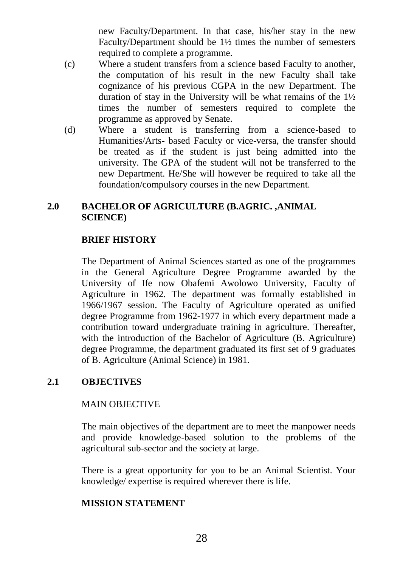new Faculty/Department. In that case, his/her stay in the new Faculty/Department should be 1½ times the number of semesters required to complete a programme.

- (c) Where a student transfers from a science based Faculty to another, the computation of his result in the new Faculty shall take cognizance of his previous CGPA in the new Department. The duration of stay in the University will be what remains of the 1½ times the number of semesters required to complete the programme as approved by Senate.
- (d) Where a student is transferring from a science-based to Humanities/Arts- based Faculty or vice-versa, the transfer should be treated as if the student is just being admitted into the university. The GPA of the student will not be transferred to the new Department. He/She will however be required to take all the foundation/compulsory courses in the new Department.

#### **2.0 BACHELOR OF AGRICULTURE (B.AGRIC. ,ANIMAL SCIENCE)**

#### **BRIEF HISTORY**

The Department of Animal Sciences started as one of the programmes in the General Agriculture Degree Programme awarded by the University of Ife now Obafemi Awolowo University, Faculty of Agriculture in 1962. The department was formally established in 1966/1967 session. The Faculty of Agriculture operated as unified degree Programme from 1962-1977 in which every department made a contribution toward undergraduate training in agriculture. Thereafter, with the introduction of the Bachelor of Agriculture (B. Agriculture) degree Programme, the department graduated its first set of 9 graduates of B. Agriculture (Animal Science) in 1981.

#### **2.1 OBJECTIVES**

#### MAIN OBJECTIVE

The main objectives of the department are to meet the manpower needs and provide knowledge-based solution to the problems of the agricultural sub-sector and the society at large.

There is a great opportunity for you to be an Animal Scientist. Your knowledge/ expertise is required wherever there is life.

#### **MISSION STATEMENT**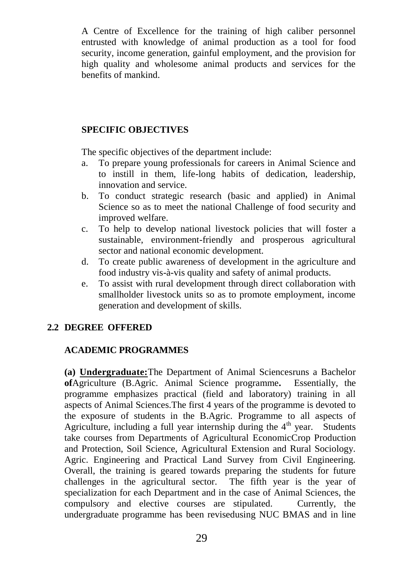A Centre of Excellence for the training of high caliber personnel entrusted with knowledge of animal production as a tool for food security, income generation, gainful employment, and the provision for high quality and wholesome animal products and services for the benefits of mankind.

#### **SPECIFIC OBJECTIVES**

The specific objectives of the department include:

- a. To prepare young professionals for careers in Animal Science and to instill in them, life-long habits of dedication, leadership, innovation and service.
- b. To conduct strategic research (basic and applied) in Animal Science so as to meet the national Challenge of food security and improved welfare.
- c. To help to develop national livestock policies that will foster a sustainable, environment-friendly and prosperous agricultural sector and national economic development.
- d. To create public awareness of development in the agriculture and food industry vis-à-vis quality and safety of animal products.
- e. To assist with rural development through direct collaboration with smallholder livestock units so as to promote employment, income generation and development of skills.

#### **2.2 DEGREE OFFERED**

#### **ACADEMIC PROGRAMMES**

**(a) Undergraduate:**The Department of Animal Sciencesruns a Bachelor **of**Agriculture (B.Agric. Animal Science programme**.** Essentially, the programme emphasizes practical (field and laboratory) training in all aspects of Animal Sciences.The first 4 years of the programme is devoted to the exposure of students in the B.Agric. Programme to all aspects of Agriculture, including a full year internship during the  $4<sup>th</sup>$  year. Students take courses from Departments of Agricultural EconomicCrop Production and Protection, Soil Science, Agricultural Extension and Rural Sociology. Agric. Engineering and Practical Land Survey from Civil Engineering. Overall, the training is geared towards preparing the students for future challenges in the agricultural sector. The fifth year is the year of specialization for each Department and in the case of Animal Sciences, the compulsory and elective courses are stipulated. Currently, the undergraduate programme has been revisedusing NUC BMAS and in line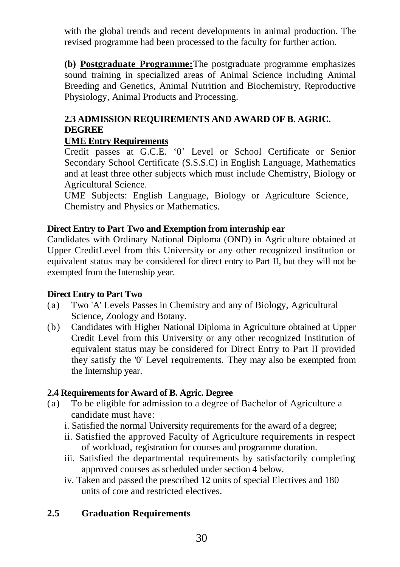with the global trends and recent developments in animal production. The revised programme had been processed to the faculty for further action.

**(b) Postgraduate Programme:**The postgraduate programme emphasizes sound training in specialized areas of Animal Science including Animal Breeding and Genetics, Animal Nutrition and Biochemistry, Reproductive Physiology, Animal Products and Processing.

#### **2.3 ADMISSION REQUIREMENTS AND AWARD OF B. AGRIC. DEGREE**

#### **UME Entry Requirements**

Credit passes at G.C.E. '0' Level or School Certificate or Senior Secondary School Certificate (S.S.S.C) in English Language, Mathematics and at least three other subjects which must include Chemistry, Biology or Agricultural Science.

UME Subjects: English Language, Biology or Agriculture Science, Chemistry and Physics or Mathematics.

#### **Direct Entry to Part Two and Exemption from internship ear**

Candidates with Ordinary National Diploma (OND) in Agriculture obtained at Upper CreditLevel from this University or any other recognized institution or equivalent status may be considered for direct entry to Part II, but they will not be exempted from the Internship year.

#### **Direct Entry to Part Two**

- (a) Two 'A' Levels Passes in Chemistry and any of Biology, Agricultural Science, Zoology and Botany.
- (b) Candidates with Higher National Diploma in Agriculture obtained at Upper Credit Level from this University or any other recognized Institution of equivalent status may be considered for Direct Entry to Part II provided they satisfy the '0' Level requirements. They may also be exempted from the Internship year.

#### **2.4 Requirements for Award of B. Agric. Degree**

- (a) To be eligible for admission to a degree of Bachelor of Agriculture a candidate must have:
	- i. Satisfied the normal University requirements for the award of a degree;
	- ii. Satisfied the approved Faculty of Agriculture requirements in respect of workload, registration for courses and programme duration.
	- iii. Satisfied the departmental requirements by satisfactorily completing approved courses as scheduled under section 4 below.
	- iv. Taken and passed the prescribed 12 units of special Electives and 180 units of core and restricted electives.

#### **2.5 Graduation Requirements**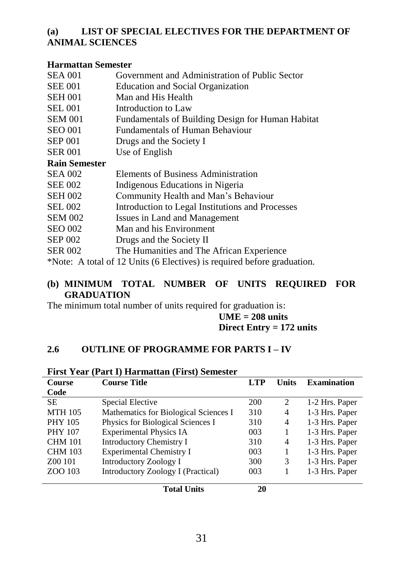#### **(a) LIST OF SPECIAL ELECTIVES FOR THE DEPARTMENT OF ANIMAL SCIENCES**

#### **Harmattan Semester**

| <b>SEA 001</b>       | Government and Administration of Public Sector                          |
|----------------------|-------------------------------------------------------------------------|
| <b>SEE 001</b>       | Education and Social Organization                                       |
| <b>SEH 001</b>       | Man and His Health                                                      |
|                      |                                                                         |
| <b>SEL 001</b>       | Introduction to Law                                                     |
| <b>SEM 001</b>       | Fundamentals of Building Design for Human Habitat                       |
| <b>SEO 001</b>       | Fundamentals of Human Behaviour                                         |
| <b>SEP 001</b>       | Drugs and the Society I                                                 |
| <b>SER 001</b>       | Use of English                                                          |
| <b>Rain Semester</b> |                                                                         |
| <b>SEA 002</b>       | Elements of Business Administration                                     |
| <b>SEE 002</b>       | Indigenous Educations in Nigeria                                        |
| <b>SEH 002</b>       | Community Health and Man's Behaviour                                    |
| <b>SEL 002</b>       | Introduction to Legal Institutions and Processes                        |
| <b>SEM 002</b>       | Issues in Land and Management                                           |
| <b>SEO 002</b>       | Man and his Environment                                                 |
| <b>SEP 002</b>       | Drugs and the Society II                                                |
| <b>SER 002</b>       | The Humanities and The African Experience                               |
|                      | *Note: A total of 12 Units (6 Electives) is required before graduation. |

#### **(b) MINIMUM TOTAL NUMBER OF UNITS REQUIRED FOR GRADUATION**

The minimum total number of units required for graduation is:

#### **UME = 208 units Direct Entry = 172 units**

#### **2.6 OUTLINE OF PROGRAMME FOR PARTS I – IV**

| <b>Course</b><br>Code | <b>Course Title</b>                       | <b>LTP</b> | Units | <b>Examination</b> |
|-----------------------|-------------------------------------------|------------|-------|--------------------|
| <b>SE</b>             | Special Elective                          | 200        | 2     |                    |
|                       |                                           |            |       | 1-2 Hrs. Paper     |
| <b>MTH 105</b>        | Mathematics for Biological Sciences I     | 310        | 4     | 1-3 Hrs. Paper     |
| <b>PHY 105</b>        | Physics for Biological Sciences I         | 310        | 4     | 1-3 Hrs. Paper     |
| <b>PHY 107</b>        | <b>Experimental Physics IA</b>            | 003        |       | 1-3 Hrs. Paper     |
| <b>CHM 101</b>        | <b>Introductory Chemistry I</b>           | 310        | 4     | 1-3 Hrs. Paper     |
| <b>CHM 103</b>        | <b>Experimental Chemistry I</b>           | 003        |       | 1-3 Hrs. Paper     |
| Z00 101               | <b>Introductory Zoology I</b>             | 300        | 3     | 1-3 Hrs. Paper     |
| ZOO 103               | <b>Introductory Zoology I (Practical)</b> | 003        |       | 1-3 Hrs. Paper     |
|                       | <b>Total Units</b>                        | 20         |       |                    |

#### **First Year (Part I) Harmattan (First) Semester**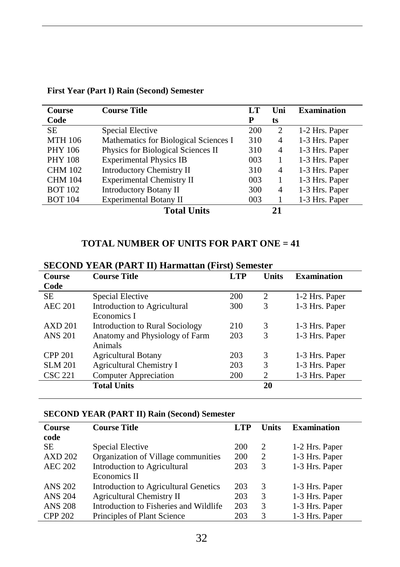| Course         | <b>Course Title</b>                   | LT  | Uni                         | <b>Examination</b> |
|----------------|---------------------------------------|-----|-----------------------------|--------------------|
| Code           |                                       | P   | ts                          |                    |
| SE.            | Special Elective                      | 200 | $\mathcal{D}_{\mathcal{A}}$ | 1-2 Hrs. Paper     |
| <b>MTH 106</b> | Mathematics for Biological Sciences I | 310 | 4                           | 1-3 Hrs. Paper     |
| <b>PHY 106</b> | Physics for Biological Sciences II    | 310 | 4                           | 1-3 Hrs. Paper     |
| <b>PHY 108</b> | <b>Experimental Physics IB</b>        | 003 |                             | 1-3 Hrs. Paper     |
| <b>CHM 102</b> | <b>Introductory Chemistry II</b>      | 310 | 4                           | 1-3 Hrs. Paper     |
| <b>CHM 104</b> | <b>Experimental Chemistry II</b>      | 003 |                             | 1-3 Hrs. Paper     |
| <b>BOT 102</b> | <b>Introductory Botany II</b>         | 300 | 4                           | 1-3 Hrs. Paper     |
| <b>BOT 104</b> | Experimental Botany II                | 003 |                             | 1-3 Hrs. Paper     |
|                | <b>Total Units</b>                    |     | 21                          |                    |

#### **First Year (Part I) Rain (Second) Semester**

#### **TOTAL NUMBER OF UNITS FOR PART ONE = 41**

| <b>Course</b>  | <b>Course Title</b>             | <b>LTP</b> | <b>Units</b>   | <b>Examination</b> |
|----------------|---------------------------------|------------|----------------|--------------------|
| Code           |                                 |            |                |                    |
| <b>SE</b>      | Special Elective                | 200        | $\overline{c}$ | 1-2 Hrs. Paper     |
| <b>AEC 201</b> | Introduction to Agricultural    | 300        | 3              | 1-3 Hrs. Paper     |
|                | Economics I                     |            |                |                    |
| AXD201         | Introduction to Rural Sociology | 210        | 3              | 1-3 Hrs. Paper     |
| <b>ANS 201</b> | Anatomy and Physiology of Farm  | 203        | 3              | 1-3 Hrs. Paper     |
|                | Animals                         |            |                |                    |
| <b>CPP 201</b> | <b>Agricultural Botany</b>      | 203        | 3              | 1-3 Hrs. Paper     |
| <b>SLM 201</b> | <b>Agricultural Chemistry I</b> | 203        | 3              | 1-3 Hrs. Paper     |
| <b>CSC 221</b> | <b>Computer Appreciation</b>    | 200        | 2              | 1-3 Hrs. Paper     |
|                | <b>Total Units</b>              |            | 20             |                    |
|                |                                 |            |                |                    |

#### **SECOND YEAR (PART II) Harmattan (First) Semester**

#### **SECOND YEAR (PART II) Rain (Second) Semester**

j.

| <b>Course Title</b>                    | LTP                                 | Units | <b>Examination</b> |
|----------------------------------------|-------------------------------------|-------|--------------------|
|                                        |                                     |       |                    |
| Special Elective                       | 200                                 | 2     | 1-2 Hrs. Paper     |
|                                        | 200                                 | 2     | 1-3 Hrs. Paper     |
| Introduction to Agricultural           | 203                                 | 3     | 1-3 Hrs. Paper     |
| Economics II                           |                                     |       |                    |
| Introduction to Agricultural Genetics  | 203                                 | 3     | 1-3 Hrs. Paper     |
| <b>Agricultural Chemistry II</b>       | 203                                 | 3     | 1-3 Hrs. Paper     |
| Introduction to Fisheries and Wildlife | 203                                 | 3     | 1-3 Hrs. Paper     |
| Principles of Plant Science            | 203                                 | 3     | 1-3 Hrs. Paper     |
|                                        | Organization of Village communities |       |                    |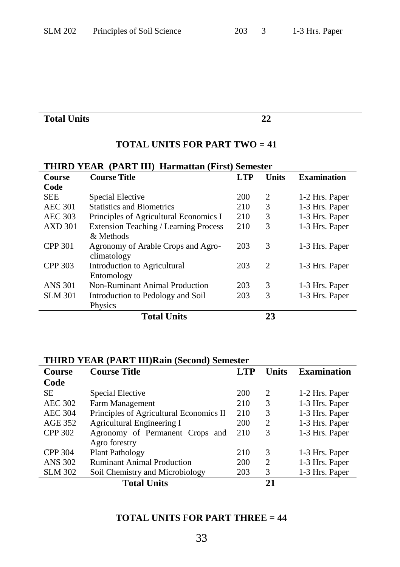#### **Total Units 22**

#### **TOTAL UNITS FOR PART TWO = 41**

| THIND TEAN (TANT III) Halmattan (Filst) semester |                                              |            |              |                    |  |
|--------------------------------------------------|----------------------------------------------|------------|--------------|--------------------|--|
| <b>Course</b>                                    | <b>Course Title</b>                          | <b>LTP</b> | <b>Units</b> | <b>Examination</b> |  |
| Code                                             |                                              |            |              |                    |  |
| <b>SEE</b>                                       | Special Elective                             | <b>200</b> | 2            | 1-2 Hrs. Paper     |  |
| <b>AEC 301</b>                                   | <b>Statistics and Biometrics</b>             | 210        | 3            | 1-3 Hrs. Paper     |  |
| <b>AEC 303</b>                                   | Principles of Agricultural Economics I       | 210        | 3            | 1-3 Hrs. Paper     |  |
| <b>AXD 301</b>                                   | <b>Extension Teaching / Learning Process</b> | 210        | 3            | 1-3 Hrs. Paper     |  |
|                                                  | & Methods                                    |            |              |                    |  |
| <b>CPP 301</b>                                   | Agronomy of Arable Crops and Agro-           | 203        | 3            | 1-3 Hrs. Paper     |  |
|                                                  | climatology                                  |            |              |                    |  |
| <b>CPP 303</b>                                   | Introduction to Agricultural                 | 203        | 2            | 1-3 Hrs. Paper     |  |
|                                                  | Entomology                                   |            |              |                    |  |
| <b>ANS 301</b>                                   | Non-Ruminant Animal Production               | 203        | 3            | 1-3 Hrs. Paper     |  |
| <b>SLM 301</b>                                   | Introduction to Pedology and Soil            | 203        | 3            | 1-3 Hrs. Paper     |  |
|                                                  | Physics                                      |            |              |                    |  |
|                                                  | <b>Total Units</b>                           |            | 23           |                    |  |
|                                                  |                                              |            |              |                    |  |

#### **THIRD YEAR (PART III) Harmattan (First) Semester**

#### **THIRD YEAR (PART III)Rain (Second) Semester**

| <b>Course</b>  | <b>Course Title</b>                     | LTP | <b>Units</b>                  | <b>Examination</b> |
|----------------|-----------------------------------------|-----|-------------------------------|--------------------|
| Code           |                                         |     |                               |                    |
| <b>SE</b>      | Special Elective                        | 200 | $\mathfrak{D}_{\mathfrak{p}}$ | 1-2 Hrs. Paper     |
| <b>AEC 302</b> | Farm Management                         | 210 | 3                             | 1-3 Hrs. Paper     |
| <b>AEC 304</b> | Principles of Agricultural Economics II | 210 | 3                             | 1-3 Hrs. Paper     |
| AGE 352        | Agricultural Engineering I              | 200 | 2                             | 1-3 Hrs. Paper     |
| <b>CPP 302</b> | Agronomy of Permanent Crops and         | 210 | 3                             | 1-3 Hrs. Paper     |
|                | Agro forestry                           |     |                               |                    |
| <b>CPP 304</b> | <b>Plant Pathology</b>                  | 210 | 3                             | 1-3 Hrs. Paper     |
| <b>ANS 302</b> | <b>Ruminant Animal Production</b>       | 200 | $\mathfrak{D}$                | 1-3 Hrs. Paper     |
| <b>SLM 302</b> | Soil Chemistry and Microbiology         | 203 | 3                             | 1-3 Hrs. Paper     |
|                | <b>Total Units</b>                      |     | 21                            |                    |

#### **TOTAL UNITS FOR PART THREE = 44**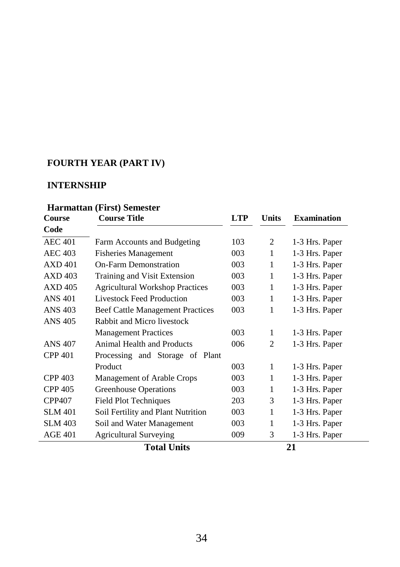#### **FOURTH YEAR (PART IV)**

#### **INTERNSHIP**

#### **Harmattan (First) Semester**

| Course         | <b>Course Title</b>                     | <b>LTP</b> | <b>Units</b>   | <b>Examination</b> |
|----------------|-----------------------------------------|------------|----------------|--------------------|
| Code           |                                         |            |                |                    |
| <b>AEC 401</b> | Farm Accounts and Budgeting             | 103        | 2              | 1-3 Hrs. Paper     |
| <b>AEC 403</b> | <b>Fisheries Management</b>             | 003        | 1              | 1-3 Hrs. Paper     |
| AXD401         | <b>On-Farm Demonstration</b>            | 003        | 1              | 1-3 Hrs. Paper     |
| <b>AXD 403</b> | Training and Visit Extension            | 003        | 1              | 1-3 Hrs. Paper     |
| <b>AXD 405</b> | <b>Agricultural Workshop Practices</b>  | 003        | 1              | 1-3 Hrs. Paper     |
| ANS 401        | <b>Livestock Feed Production</b>        | 003        | 1              | 1-3 Hrs. Paper     |
| <b>ANS 403</b> | <b>Beef Cattle Management Practices</b> | 003        | 1              | 1-3 Hrs. Paper     |
| <b>ANS 405</b> | Rabbit and Micro livestock              |            |                |                    |
|                | <b>Management Practices</b>             | 003        | 1              | 1-3 Hrs. Paper     |
| <b>ANS 407</b> | Animal Health and Products              | 006        | $\overline{c}$ | 1-3 Hrs. Paper     |
| <b>CPP 401</b> | Processing and Storage of Plant         |            |                |                    |
|                | Product                                 | 003        | 1              | 1-3 Hrs. Paper     |
| CPP 403        | Management of Arable Crops              | 003        | 1              | 1-3 Hrs. Paper     |
| <b>CPP 405</b> | <b>Greenhouse Operations</b>            | 003        | 1              | 1-3 Hrs. Paper     |
| <b>CPP407</b>  | <b>Field Plot Techniques</b>            | 203        | 3              | 1-3 Hrs. Paper     |
| <b>SLM 401</b> | Soil Fertility and Plant Nutrition      | 003        | 1              | 1-3 Hrs. Paper     |
| <b>SLM 403</b> | Soil and Water Management               | 003        | 1              | 1-3 Hrs. Paper     |
| <b>AGE 401</b> | <b>Agricultural Surveying</b>           | 009        | 3              | 1-3 Hrs. Paper     |
|                | <b>Total Units</b>                      |            |                | 21                 |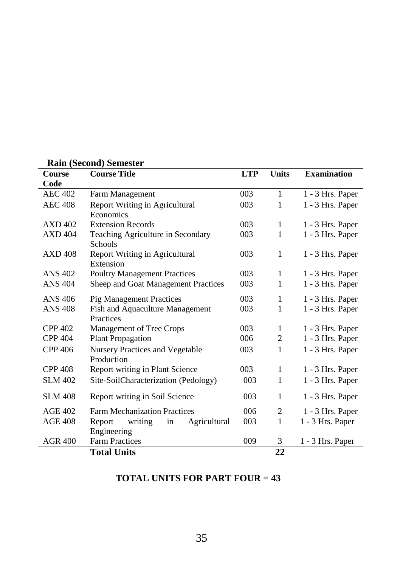|                | <b>Ram</b> (Decond) bemester            |            |              |                    |
|----------------|-----------------------------------------|------------|--------------|--------------------|
| Course         | <b>Course Title</b>                     | <b>LTP</b> | <b>Units</b> | <b>Examination</b> |
| Code           |                                         |            |              |                    |
| <b>AEC 402</b> | Farm Management                         | 003        | 1            | 1 - 3 Hrs. Paper   |
| <b>AEC 408</b> | Report Writing in Agricultural          | 003        | 1            | 1 - 3 Hrs. Paper   |
|                | Economics                               |            |              |                    |
| <b>AXD 402</b> | <b>Extension Records</b>                | 003        | 1            | 1 - 3 Hrs. Paper   |
| <b>AXD 404</b> | Teaching Agriculture in Secondary       | 003        | 1            | 1 - 3 Hrs. Paper   |
|                | <b>Schools</b>                          |            |              |                    |
| <b>AXD 408</b> | Report Writing in Agricultural          | 003        | 1            | 1 - 3 Hrs. Paper   |
|                | Extension                               |            |              |                    |
| <b>ANS 402</b> | <b>Poultry Management Practices</b>     | 003        | 1            | 1 - 3 Hrs. Paper   |
| <b>ANS 404</b> | Sheep and Goat Management Practices     | 003        | 1            | 1 - 3 Hrs. Paper   |
|                |                                         |            |              |                    |
| <b>ANS 406</b> | <b>Pig Management Practices</b>         | 003        | 1            | 1 - 3 Hrs. Paper   |
| <b>ANS 408</b> | Fish and Aquaculture Management         | 003        | 1            | 1 - 3 Hrs. Paper   |
|                | Practices                               |            |              |                    |
| <b>CPP 402</b> | Management of Tree Crops                | 003        | 1            | 1 - 3 Hrs. Paper   |
| <b>CPP 404</b> | <b>Plant Propagation</b>                | 006        | 2            | 1 - 3 Hrs. Paper   |
| <b>CPP 406</b> | <b>Nursery Practices and Vegetable</b>  | 003        | 1            | 1 - 3 Hrs. Paper   |
|                | Production                              |            |              |                    |
| <b>CPP 408</b> | Report writing in Plant Science         | 003        | 1            | 1 - 3 Hrs. Paper   |
| <b>SLM 402</b> | Site-SoilCharacterization (Pedology)    | 003        | 1            | 1 - 3 Hrs. Paper   |
|                |                                         |            |              |                    |
| <b>SLM 408</b> | Report writing in Soil Science          | 003        | $\mathbf{1}$ | 1 - 3 Hrs. Paper   |
| $AGE$ 402      | <b>Farm Mechanization Practices</b>     | 006        | 2            | 1 - 3 Hrs. Paper   |
| <b>AGE 408</b> | writing<br>Report<br>Agricultural<br>in | 003        | 1            | 1 - 3 Hrs. Paper   |
|                | Engineering                             |            |              |                    |
| <b>AGR 400</b> | <b>Farm Practices</b>                   | 009        | 3            | 1 - 3 Hrs. Paper   |
|                |                                         |            |              |                    |
|                | <b>Total Units</b>                      |            | 22           |                    |

### **Rain (Second) Semester**

#### **TOTAL UNITS FOR PART FOUR = 43**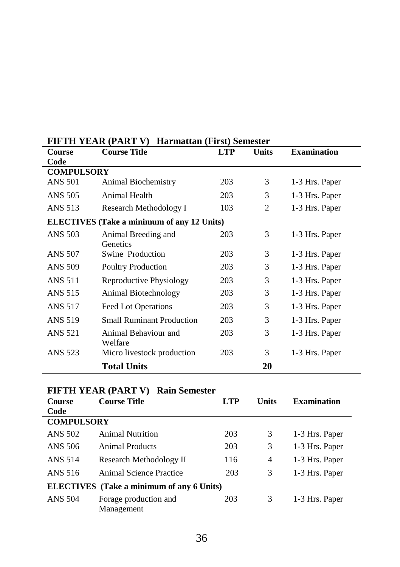| Course            | TIFTII TEAR (TART Y) THAIMANAII (TIISI) BUIRSKI<br><b>Course Title</b> | <b>LTP</b> | <b>Units</b>   | <b>Examination</b> |
|-------------------|------------------------------------------------------------------------|------------|----------------|--------------------|
| Code              |                                                                        |            |                |                    |
| <b>COMPULSORY</b> |                                                                        |            |                |                    |
| <b>ANS 501</b>    | Animal Biochemistry                                                    | 203        | 3              | 1-3 Hrs. Paper     |
| ANS 505           | Animal Health                                                          | 203        | 3              | 1-3 Hrs. Paper     |
| ANS 513           | Research Methodology I                                                 | 103        | $\overline{c}$ | 1-3 Hrs. Paper     |
|                   | <b>ELECTIVES</b> (Take a minimum of any 12 Units)                      |            |                |                    |
| <b>ANS 503</b>    | Animal Breeding and                                                    | 203        | 3              | 1-3 Hrs. Paper     |
|                   | Genetics                                                               |            |                |                    |
| <b>ANS 507</b>    | Swine Production                                                       | 203        | 3              | 1-3 Hrs. Paper     |
| ANS 509           | <b>Poultry Production</b>                                              | 203        | 3              | 1-3 Hrs. Paper     |
| <b>ANS 511</b>    | Reproductive Physiology                                                | 203        | 3              | 1-3 Hrs. Paper     |
| <b>ANS 515</b>    | Animal Biotechnology                                                   | 203        | 3              | 1-3 Hrs. Paper     |
| ANS 517           | <b>Feed Lot Operations</b>                                             | 203        | 3              | 1-3 Hrs. Paper     |
| <b>ANS 519</b>    | <b>Small Ruminant Production</b>                                       | 203        | 3              | 1-3 Hrs. Paper     |
| <b>ANS 521</b>    | Animal Behaviour and                                                   | 203        | 3              | 1-3 Hrs. Paper     |
|                   | Welfare                                                                |            |                |                    |
| ANS 523           | Micro livestock production                                             | 203        | 3              | 1-3 Hrs. Paper     |
|                   | <b>Total Units</b>                                                     |            | 20             |                    |

#### **FIFTH YEAR (PART V) Harmattan (First) Semester**

#### **FIFTH YEAR (PART V) Rain Semester**

| <b>Course</b>     | <b>Course Title</b>                              | <b>LTP</b> | <b>Units</b> | <b>Examination</b> |
|-------------------|--------------------------------------------------|------------|--------------|--------------------|
| Code              |                                                  |            |              |                    |
| <b>COMPULSORY</b> |                                                  |            |              |                    |
| <b>ANS 502</b>    | <b>Animal Nutrition</b>                          | 203        | 3            | 1-3 Hrs. Paper     |
| ANS 506           | <b>Animal Products</b>                           | 203        | 3            | 1-3 Hrs. Paper     |
| <b>ANS 514</b>    | Research Methodology II                          | 116        | 4            | 1-3 Hrs. Paper     |
| ANS 516           | Animal Science Practice                          | 203        | 3            | 1-3 Hrs. Paper     |
|                   | <b>ELECTIVES</b> (Take a minimum of any 6 Units) |            |              |                    |
| <b>ANS 504</b>    | Forage production and<br>Management              | 203        | 3            | 1-3 Hrs. Paper     |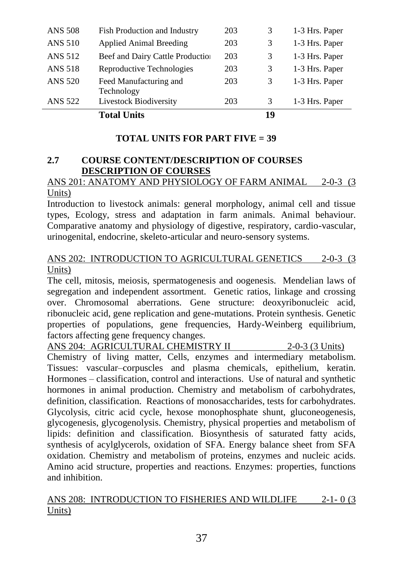|                | <b>Total Units</b>                   |     | 19 |                |
|----------------|--------------------------------------|-----|----|----------------|
| <b>ANS 522</b> | <b>Livestock Biodiversity</b>        | 203 | 3  | 1-3 Hrs. Paper |
| <b>ANS 520</b> | Feed Manufacturing and<br>Technology | 203 | 3  | 1-3 Hrs. Paper |
| ANS 518        | Reproductive Technologies            | 203 | 3  | 1-3 Hrs. Paper |
| ANS 512        | Beef and Dairy Cattle Production     | 203 | 3  | 1-3 Hrs. Paper |
| <b>ANS 510</b> | <b>Applied Animal Breeding</b>       | 203 | 3  | 1-3 Hrs. Paper |
| <b>ANS 508</b> | Fish Production and Industry         | 203 |    | 1-3 Hrs. Paper |

#### **TOTAL UNITS FOR PART FIVE = 39**

#### **2.7 COURSE CONTENT/DESCRIPTION OF COURSES DESCRIPTION OF COURSES**

#### ANS 201: ANATOMY AND PHYSIOLOGY OF FARM ANIMAL 2-0-3 (3) Units)

Introduction to livestock animals: general morphology, animal cell and tissue types, Ecology, stress and adaptation in farm animals. Animal behaviour. Comparative anatomy and physiology of digestive, respiratory, cardio-vascular, urinogenital, endocrine, skeleto-articular and neuro-sensory systems.

#### ANS 202: INTRODUCTION TO AGRICULTURAL GENETICS 2-0-3 (3) Units)

The cell, mitosis, meiosis, spermatogenesis and oogenesis. Mendelian laws of segregation and independent assortment. Genetic ratios, linkage and crossing over. Chromosomal aberrations. Gene structure: deoxyribonucleic acid, ribonucleic acid, gene replication and gene-mutations. Protein synthesis. Genetic properties of populations, gene frequencies, Hardy-Weinberg equilibrium, factors affecting gene frequency changes.

ANS 204: AGRICULTURAL CHEMISTRY II 2-0-3 (3 Units) Chemistry of living matter, Cells, enzymes and intermediary metabolism. Tissues: vascular–corpuscles and plasma chemicals, epithelium, keratin. Hormones – classification, control and interactions. Use of natural and synthetic hormones in animal production. Chemistry and metabolism of carbohydrates, definition, classification. Reactions of monosaccharides, tests for carbohydrates. Glycolysis, citric acid cycle, hexose monophosphate shunt, gluconeogenesis, glycogenesis, glycogenolysis. Chemistry, physical properties and metabolism of lipids: definition and classification. Biosynthesis of saturated fatty acids, synthesis of acylglycerols, oxidation of SFA. Energy balance sheet from SFA oxidation. Chemistry and metabolism of proteins, enzymes and nucleic acids. Amino acid structure, properties and reactions. Enzymes: properties, functions and inhibition.

#### ANS 208: INTRODUCTION TO FISHERIES AND WILDLIFE 2-1- 0 (3 Units)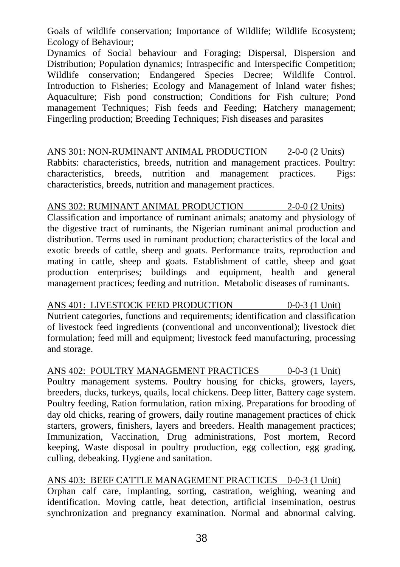Goals of wildlife conservation; Importance of Wildlife; Wildlife Ecosystem; Ecology of Behaviour;

Dynamics of Social behaviour and Foraging; Dispersal, Dispersion and Distribution; Population dynamics; Intraspecific and Interspecific Competition; Wildlife conservation; Endangered Species Decree; Wildlife Control. Introduction to Fisheries; Ecology and Management of Inland water fishes; Aquaculture; Fish pond construction; Conditions for Fish culture; Pond management Techniques: Fish feeds and Feeding: Hatchery management: Fingerling production; Breeding Techniques; Fish diseases and parasites

ANS 301: NON-RUMINANT ANIMAL PRODUCTION 2-0-0 (2 Units) Rabbits: characteristics, breeds, nutrition and management practices. Poultry: characteristics, breeds, nutrition and management practices. Pigs: characteristics, breeds, nutrition and management practices.

ANS 302: RUMINANT ANIMAL PRODUCTION 2-0-0 (2 Units) Classification and importance of ruminant animals; anatomy and physiology of the digestive tract of ruminants, the Nigerian ruminant animal production and distribution. Terms used in ruminant production; characteristics of the local and exotic breeds of cattle, sheep and goats. Performance traits, reproduction and mating in cattle, sheep and goats. Establishment of cattle, sheep and goat production enterprises; buildings and equipment, health and general management practices; feeding and nutrition. Metabolic diseases of ruminants.

ANS 401: LIVESTOCK FEED PRODUCTION 0-0-3 (1 Unit) Nutrient categories, functions and requirements; identification and classification of livestock feed ingredients (conventional and unconventional); livestock diet formulation; feed mill and equipment; livestock feed manufacturing, processing and storage.

ANS 402: POULTRY MANAGEMENT PRACTICES 0-0-3 (1 Unit) Poultry management systems. Poultry housing for chicks, growers, layers, breeders, ducks, turkeys, quails, local chickens. Deep litter, Battery cage system. Poultry feeding, Ration formulation, ration mixing. Preparations for brooding of day old chicks, rearing of growers, daily routine management practices of chick starters, growers, finishers, layers and breeders. Health management practices; Immunization, Vaccination, Drug administrations, Post mortem, Record keeping, Waste disposal in poultry production, egg collection, egg grading, culling, debeaking. Hygiene and sanitation.

ANS 403: BEEF CATTLE MANAGEMENT PRACTICES 0-0-3 (1 Unit) Orphan calf care, implanting, sorting, castration, weighing, weaning and identification. Moving cattle, heat detection, artificial insemination, oestrus synchronization and pregnancy examination. Normal and abnormal calving.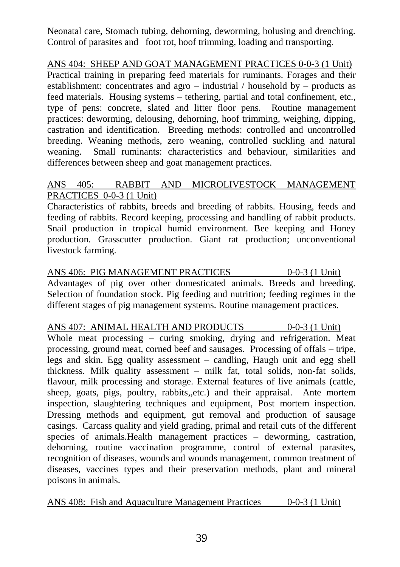Neonatal care, Stomach tubing, dehorning, deworming, bolusing and drenching. Control of parasites and foot rot, hoof trimming, loading and transporting.

ANS 404: SHEEP AND GOAT MANAGEMENT PRACTICES 0-0-3 (1 Unit) Practical training in preparing feed materials for ruminants. Forages and their establishment: concentrates and agro – industrial / household by – products as feed materials. Housing systems – tethering, partial and total confinement, etc., type of pens: concrete, slated and litter floor pens. Routine management practices: deworming, delousing, dehorning, hoof trimming, weighing, dipping, castration and identification. Breeding methods: controlled and uncontrolled breeding. Weaning methods, zero weaning, controlled suckling and natural weaning. Small ruminants: characteristics and behaviour, similarities and differences between sheep and goat management practices.

#### ANS 405: RABBIT AND MICROLIVESTOCK MANAGEMENT PRACTICES 0-0-3 (1 Unit)

Characteristics of rabbits, breeds and breeding of rabbits. Housing, feeds and feeding of rabbits. Record keeping, processing and handling of rabbit products. Snail production in tropical humid environment. Bee keeping and Honey production. Grasscutter production. Giant rat production; unconventional livestock farming.

ANS 406: PIG MANAGEMENT PRACTICES 0-0-3 (1 Unit) Advantages of pig over other domesticated animals. Breeds and breeding. Selection of foundation stock. Pig feeding and nutrition; feeding regimes in the different stages of pig management systems. Routine management practices.

ANS 407: ANIMAL HEALTH AND PRODUCTS 0-0-3 (1 Unit) Whole meat processing – curing smoking, drying and refrigeration. Meat processing, ground meat, corned beef and sausages. Processing of offals – tripe, legs and skin. Egg quality assessment – candling, Haugh unit and egg shell thickness. Milk quality assessment – milk fat, total solids, non-fat solids, flavour, milk processing and storage. External features of live animals (cattle, sheep, goats, pigs, poultry, rabbits,,etc.) and their appraisal. Ante mortem inspection, slaughtering techniques and equipment, Post mortem inspection. Dressing methods and equipment, gut removal and production of sausage casings. Carcass quality and yield grading, primal and retail cuts of the different species of animals.Health management practices – deworming, castration, dehorning, routine vaccination programme, control of external parasites, recognition of diseases, wounds and wounds management, common treatment of diseases, vaccines types and their preservation methods, plant and mineral poisons in animals.

ANS 408: Fish and Aquaculture Management Practices 0-0-3 (1 Unit)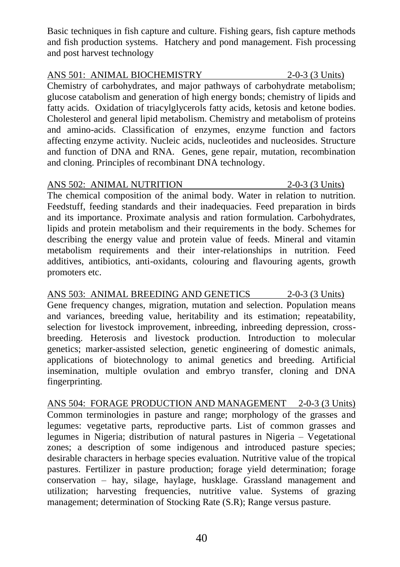Basic techniques in fish capture and culture. Fishing gears, fish capture methods and fish production systems. Hatchery and pond management. Fish processing and post harvest technology

#### ANS 501: ANIMAL BIOCHEMISTRY 2-0-3 (3 Units)

Chemistry of carbohydrates, and major pathways of carbohydrate metabolism; glucose catabolism and generation of high energy bonds; chemistry of lipids and fatty acids. Oxidation of triacylglycerols fatty acids, ketosis and ketone bodies. Cholesterol and general lipid metabolism. Chemistry and metabolism of proteins and amino-acids. Classification of enzymes, enzyme function and factors affecting enzyme activity. Nucleic acids, nucleotides and nucleosides. Structure and function of DNA and RNA. Genes, gene repair, mutation, recombination and cloning. Principles of recombinant DNA technology.

### ANS 502: ANIMAL NUTRITION 2-0-3 (3 Units)

The chemical composition of the animal body. Water in relation to nutrition. Feedstuff, feeding standards and their inadequacies. Feed preparation in birds and its importance. Proximate analysis and ration formulation. Carbohydrates, lipids and protein metabolism and their requirements in the body. Schemes for describing the energy value and protein value of feeds. Mineral and vitamin metabolism requirements and their inter-relationships in nutrition. Feed additives, antibiotics, anti-oxidants, colouring and flavouring agents, growth promoters etc.

ANS 503: ANIMAL BREEDING AND GENETICS 2-0-3 (3 Units) Gene frequency changes, migration, mutation and selection. Population means and variances, breeding value, heritability and its estimation; repeatability, selection for livestock improvement, inbreeding, inbreeding depression, crossbreeding. Heterosis and livestock production. Introduction to molecular genetics; marker-assisted selection, genetic engineering of domestic animals, applications of biotechnology to animal genetics and breeding. Artificial insemination, multiple ovulation and embryo transfer, cloning and DNA fingerprinting.

ANS 504: FORAGE PRODUCTION AND MANAGEMENT 2-0-3 (3 Units) Common terminologies in pasture and range; morphology of the grasses and legumes: vegetative parts, reproductive parts. List of common grasses and legumes in Nigeria; distribution of natural pastures in Nigeria – Vegetational zones; a description of some indigenous and introduced pasture species; desirable characters in herbage species evaluation. Nutritive value of the tropical pastures. Fertilizer in pasture production; forage yield determination; forage conservation – hay, silage, haylage, husklage. Grassland management and utilization; harvesting frequencies, nutritive value. Systems of grazing management; determination of Stocking Rate (S.R); Range versus pasture.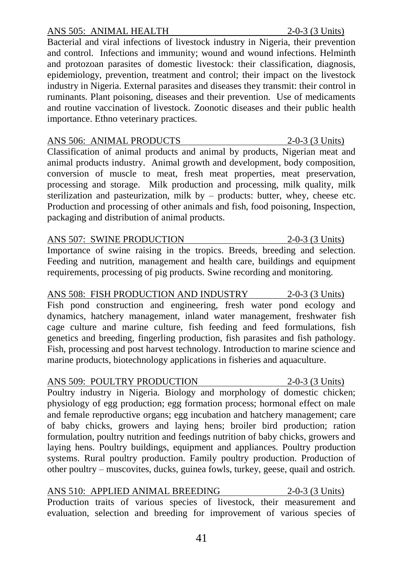#### ANS 505: ANIMAL HEALTH 2-0-3 (3 Units)

Bacterial and viral infections of livestock industry in Nigeria, their prevention and control. Infections and immunity; wound and wound infections. Helminth and protozoan parasites of domestic livestock: their classification, diagnosis, epidemiology, prevention, treatment and control; their impact on the livestock industry in Nigeria. External parasites and diseases they transmit: their control in ruminants. Plant poisoning, diseases and their prevention. Use of medicaments and routine vaccination of livestock. Zoonotic diseases and their public health importance. Ethno veterinary practices.

ANS 506: ANIMAL PRODUCTS 2-0-3 (3 Units) Classification of animal products and animal by products, Nigerian meat and animal products industry. Animal growth and development, body composition, conversion of muscle to meat, fresh meat properties, meat preservation, processing and storage. Milk production and processing, milk quality, milk sterilization and pasteurization, milk by – products: butter, whey, cheese etc. Production and processing of other animals and fish, food poisoning, Inspection, packaging and distribution of animal products.

#### ANS 507: SWINE PRODUCTION 2-0-3 (3 Units)

Importance of swine raising in the tropics. Breeds, breeding and selection. Feeding and nutrition, management and health care, buildings and equipment requirements, processing of pig products. Swine recording and monitoring.

ANS 508: FISH PRODUCTION AND INDUSTRY 2-0-3 (3 Units) Fish pond construction and engineering, fresh water pond ecology and dynamics, hatchery management, inland water management, freshwater fish cage culture and marine culture, fish feeding and feed formulations, fish genetics and breeding, fingerling production, fish parasites and fish pathology. Fish, processing and post harvest technology. Introduction to marine science and marine products, biotechnology applications in fisheries and aquaculture.

ANS 509: POULTRY PRODUCTION 2-0-3 (3 Units) Poultry industry in Nigeria. Biology and morphology of domestic chicken; physiology of egg production; egg formation process; hormonal effect on male and female reproductive organs; egg incubation and hatchery management; care of baby chicks, growers and laying hens; broiler bird production; ration formulation, poultry nutrition and feedings nutrition of baby chicks, growers and laying hens. Poultry buildings, equipment and appliances. Poultry production systems. Rural poultry production. Family poultry production. Production of other poultry – muscovites, ducks, guinea fowls, turkey, geese, quail and ostrich.

ANS 510: APPLIED ANIMAL BREEDING 2-0-3 (3 Units) Production traits of various species of livestock, their measurement and evaluation, selection and breeding for improvement of various species of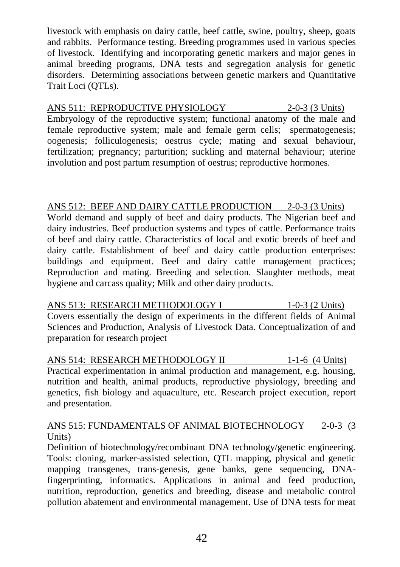livestock with emphasis on dairy cattle, beef cattle, swine, poultry, sheep, goats and rabbits. Performance testing. Breeding programmes used in various species of livestock. Identifying and incorporating genetic markers and major genes in animal breeding programs, DNA tests and segregation analysis for genetic disorders. Determining associations between genetic markers and Quantitative Trait Loci (QTLs).

#### ANS 511: REPRODUCTIVE PHYSIOLOGY 2-0-3 (3 Units)

Embryology of the reproductive system; functional anatomy of the male and female reproductive system; male and female germ cells; spermatogenesis; oogenesis; folliculogenesis; oestrus cycle; mating and sexual behaviour, fertilization; pregnancy; parturition; suckling and maternal behaviour; uterine involution and post partum resumption of oestrus; reproductive hormones.

#### ANS 512: BEEF AND DAIRY CATTLE PRODUCTION 2-0-3 (3 Units)

World demand and supply of beef and dairy products. The Nigerian beef and dairy industries. Beef production systems and types of cattle. Performance traits of beef and dairy cattle. Characteristics of local and exotic breeds of beef and dairy cattle. Establishment of beef and dairy cattle production enterprises: buildings and equipment. Beef and dairy cattle management practices; Reproduction and mating. Breeding and selection. Slaughter methods, meat hygiene and carcass quality; Milk and other dairy products.

ANS 513: RESEARCH METHODOLOGY I 1-0-3 (2 Units) Covers essentially the design of experiments in the different fields of Animal Sciences and Production, Analysis of Livestock Data. Conceptualization of and preparation for research project

ANS 514: RESEARCH METHODOLOGY II 1-1-6 (4 Units) Practical experimentation in animal production and management, e.g. housing, nutrition and health, animal products, reproductive physiology, breeding and genetics, fish biology and aquaculture, etc. Research project execution, report and presentation.

#### ANS 515: FUNDAMENTALS OF ANIMAL BIOTECHNOLOGY 2-0-3 (3) Units)

Definition of biotechnology/recombinant DNA technology/genetic engineering. Tools: cloning, marker-assisted selection, QTL mapping, physical and genetic mapping transgenes, trans-genesis, gene banks, gene sequencing, DNAfingerprinting, informatics. Applications in animal and feed production, nutrition, reproduction, genetics and breeding, disease and metabolic control pollution abatement and environmental management. Use of DNA tests for meat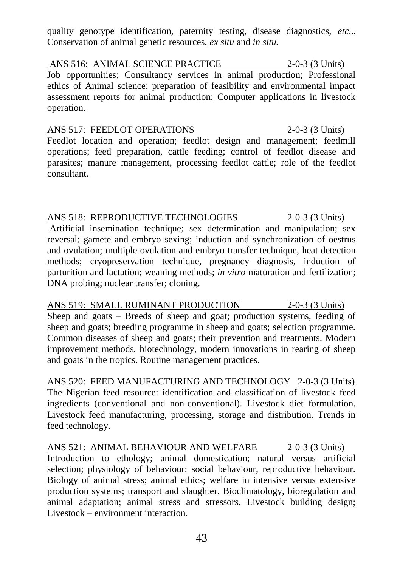quality genotype identification, paternity testing, disease diagnostics, *etc*... Conservation of animal genetic resources, *ex situ* and *in situ.*

ANS 516: ANIMAL SCIENCE PRACTICE 2-0-3 (3 Units) Job opportunities; Consultancy services in animal production; Professional ethics of Animal science; preparation of feasibility and environmental impact assessment reports for animal production; Computer applications in livestock operation.

ANS 517: FEEDLOT OPERATIONS 2-0-3 (3 Units) Feedlot location and operation; feedlot design and management; feedmill operations; feed preparation, cattle feeding; control of feedlot disease and parasites; manure management, processing feedlot cattle; role of the feedlot consultant.

ANS 518: REPRODUCTIVE TECHNOLOGIES 2-0-3 (3 Units) Artificial insemination technique; sex determination and manipulation; sex reversal; gamete and embryo sexing; induction and synchronization of oestrus and ovulation; multiple ovulation and embryo transfer technique, heat detection methods; cryopreservation technique, pregnancy diagnosis, induction of parturition and lactation; weaning methods; *in vitro* maturation and fertilization; DNA probing; nuclear transfer; cloning.

ANS 519: SMALL RUMINANT PRODUCTION 2-0-3 (3 Units) Sheep and goats – Breeds of sheep and goat; production systems, feeding of sheep and goats; breeding programme in sheep and goats; selection programme. Common diseases of sheep and goats; their prevention and treatments. Modern improvement methods, biotechnology, modern innovations in rearing of sheep and goats in the tropics. Routine management practices.

ANS 520: FEED MANUFACTURING AND TECHNOLOGY 2-0-3 (3 Units) The Nigerian feed resource: identification and classification of livestock feed ingredients (conventional and non-conventional). Livestock diet formulation. Livestock feed manufacturing, processing, storage and distribution. Trends in feed technology.

ANS 521: ANIMAL BEHAVIOUR AND WELFARE 2-0-3 (3 Units) Introduction to ethology; animal domestication; natural versus artificial selection; physiology of behaviour: social behaviour, reproductive behaviour. Biology of animal stress; animal ethics; welfare in intensive versus extensive production systems; transport and slaughter. Bioclimatology, bioregulation and animal adaptation; animal stress and stressors. Livestock building design; Livestock – environment interaction.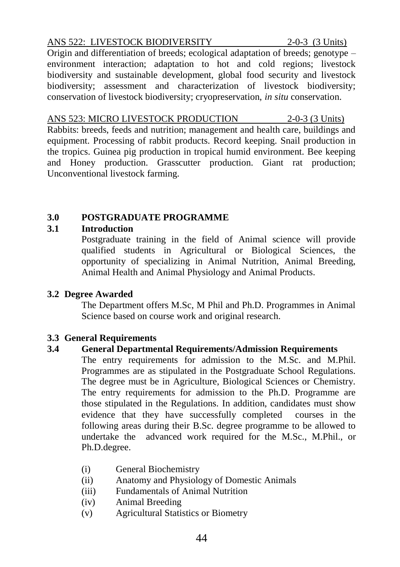#### ANS 522: LIVESTOCK BIODIVERSITY 2-0-3 (3 Units)

Origin and differentiation of breeds; ecological adaptation of breeds; genotype – environment interaction; adaptation to hot and cold regions; livestock biodiversity and sustainable development, global food security and livestock biodiversity; assessment and characterization of livestock biodiversity; conservation of livestock biodiversity; cryopreservation, *in situ* conservation.

ANS 523: MICRO LIVESTOCK PRODUCTION 2-0-3 (3 Units) Rabbits: breeds, feeds and nutrition; management and health care, buildings and equipment. Processing of rabbit products. Record keeping. Snail production in the tropics. Guinea pig production in tropical humid environment. Bee keeping and Honey production. Grasscutter production. Giant rat production; Unconventional livestock farming.

#### **3.0 POSTGRADUATE PROGRAMME**

#### **3.1 Introduction**

Postgraduate training in the field of Animal science will provide qualified students in Agricultural or Biological Sciences, the opportunity of specializing in Animal Nutrition, Animal Breeding, Animal Health and Animal Physiology and Animal Products.

#### **3.2 Degree Awarded**

The Department offers M.Sc, M Phil and Ph.D. Programmes in Animal Science based on course work and original research.

#### **3.3 General Requirements**

#### **3.4 General Departmental Requirements/Admission Requirements**

The entry requirements for admission to the M.Sc. and M.Phil. Programmes are as stipulated in the Postgraduate School Regulations. The degree must be in Agriculture, Biological Sciences or Chemistry. The entry requirements for admission to the Ph.D. Programme are those stipulated in the Regulations. In addition, candidates must show evidence that they have successfully completed courses in the following areas during their B.Sc. degree programme to be allowed to undertake the advanced work required for the M.Sc., M.Phil., or Ph.D.degree.

- (i) General Biochemistry
- (ii) Anatomy and Physiology of Domestic Animals
- (iii) Fundamentals of Animal Nutrition
- (iv) Animal Breeding
- (v) Agricultural Statistics or Biometry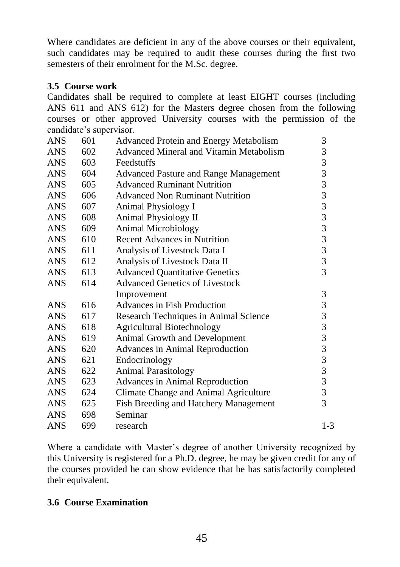Where candidates are deficient in any of the above courses or their equivalent, such candidates may be required to audit these courses during the first two semesters of their enrolment for the M.Sc. degree.

#### **3.5 Course work**

Candidates shall be required to complete at least EIGHT courses (including ANS 611 and ANS 612) for the Masters degree chosen from the following courses or other approved University courses with the permission of the candidate's supervisor.

| 601 | Advanced Protein and Energy Metabolism         | 3                                               |
|-----|------------------------------------------------|-------------------------------------------------|
| 602 | <b>Advanced Mineral and Vitamin Metabolism</b> | 3                                               |
| 603 | Feedstuffs                                     | 3                                               |
| 604 | Advanced Pasture and Range Management          | 3                                               |
| 605 | <b>Advanced Ruminant Nutrition</b>             |                                                 |
| 606 | <b>Advanced Non Ruminant Nutrition</b>         |                                                 |
| 607 | Animal Physiology I                            |                                                 |
| 608 | Animal Physiology II                           |                                                 |
| 609 | <b>Animal Microbiology</b>                     |                                                 |
| 610 | <b>Recent Advances in Nutrition</b>            | 33333333                                        |
| 611 | Analysis of Livestock Data I                   |                                                 |
| 612 | Analysis of Livestock Data II                  |                                                 |
| 613 | <b>Advanced Quantitative Genetics</b>          | $\overline{3}$                                  |
| 614 | <b>Advanced Genetics of Livestock</b>          |                                                 |
|     | Improvement                                    | $\mathfrak{Z}$                                  |
| 616 | Advances in Fish Production                    | $\sqrt{3}$                                      |
| 617 | Research Techniques in Animal Science          |                                                 |
| 618 | <b>Agricultural Biotechnology</b>              | $\begin{array}{c} 3 \\ 3 \\ 3 \end{array}$      |
| 619 | Animal Growth and Development                  |                                                 |
| 620 | Advances in Animal Reproduction                |                                                 |
| 621 | Endocrinology                                  |                                                 |
| 622 | <b>Animal Parasitology</b>                     | $\begin{array}{c} 3 \\ 3 \\ 3 \\ 3 \end{array}$ |
| 623 | Advances in Animal Reproduction                |                                                 |
| 624 | Climate Change and Animal Agriculture          | $\overline{\mathbf{3}}$                         |
| 625 | Fish Breeding and Hatchery Management          | 3                                               |
| 698 | Seminar                                        |                                                 |
| 699 | research                                       | $1 - 3$                                         |
|     |                                                |                                                 |

Where a candidate with Master's degree of another University recognized by this University is registered for a Ph.D. degree, he may be given credit for any of the courses provided he can show evidence that he has satisfactorily completed their equivalent.

#### **3.6 Course Examination**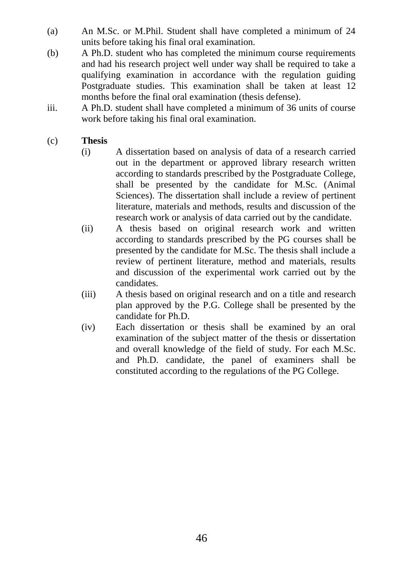- (a) An M.Sc. or M.Phil. Student shall have completed a minimum of 24 units before taking his final oral examination.
- (b) A Ph.D. student who has completed the minimum course requirements and had his research project well under way shall be required to take a qualifying examination in accordance with the regulation guiding Postgraduate studies. This examination shall be taken at least 12 months before the final oral examination (thesis defense).
- iii. A Ph.D. student shall have completed a minimum of 36 units of course work before taking his final oral examination.

#### (c) **Thesis**

- (i) A dissertation based on analysis of data of a research carried out in the department or approved library research written according to standards prescribed by the Postgraduate College, shall be presented by the candidate for M.Sc. (Animal Sciences). The dissertation shall include a review of pertinent literature, materials and methods, results and discussion of the research work or analysis of data carried out by the candidate.
- (ii) A thesis based on original research work and written according to standards prescribed by the PG courses shall be presented by the candidate for M.Sc. The thesis shall include a review of pertinent literature, method and materials, results and discussion of the experimental work carried out by the candidates.
- (iii) A thesis based on original research and on a title and research plan approved by the P.G. College shall be presented by the candidate for Ph.D.
- (iv) Each dissertation or thesis shall be examined by an oral examination of the subject matter of the thesis or dissertation and overall knowledge of the field of study. For each M.Sc. and Ph.D. candidate, the panel of examiners shall be constituted according to the regulations of the PG College.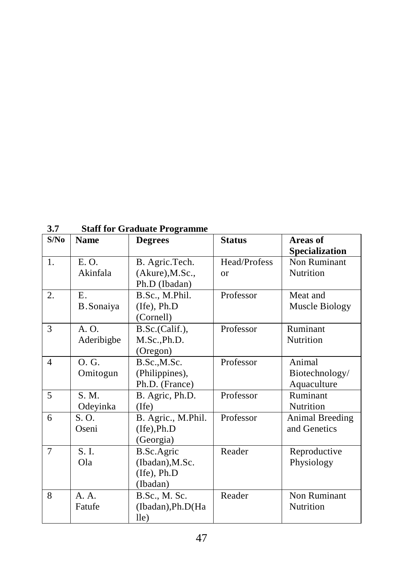| 3.7            | <b>Staff for Graduate Programme</b> |                                                          |                               |                                         |  |  |
|----------------|-------------------------------------|----------------------------------------------------------|-------------------------------|-----------------------------------------|--|--|
| S/No           | <b>Name</b>                         | <b>Degrees</b>                                           | <b>Status</b>                 | Areas of<br><b>Specialization</b>       |  |  |
| 1.             | E. O.<br>Akinfala                   | B. Agric.Tech.<br>(Akure), M.Sc.,<br>Ph.D (Ibadan)       | Head/Profess<br><sub>or</sub> | Non Ruminant<br>Nutrition               |  |  |
| 2.             | $E_{\cdot}$<br>B.Sonaiya            | B.Sc., M.Phil.<br>(Ife), Ph.D<br>(Cornell)               | Professor                     | Meat and<br>Muscle Biology              |  |  |
| $\overline{3}$ | A. O.<br>Aderibigbe                 | B.Sc.(Calif.),<br>M.Sc., Ph.D.<br>(Oregon)               | Professor                     | Ruminant<br>Nutrition                   |  |  |
| $\overline{4}$ | O.G.<br>Omitogun                    | B.Sc.,M.Sc.<br>(Philippines),<br>Ph.D. (France)          | Professor                     | Animal<br>Biotechnology/<br>Aquaculture |  |  |
| 5              | S. M.<br>Odeyinka                   | B. Agric, Ph.D.<br>(Ife)                                 | Professor                     | Ruminant<br>Nutrition                   |  |  |
| 6              | S. O.<br>Oseni                      | B. Agric., M.Phil.<br>$($ Ife $)$ , Ph.D<br>(Georgia)    | Professor                     | Animal Breeding<br>and Genetics         |  |  |
| $\overline{7}$ | S.I.<br>Ola                         | B.Sc.Agric<br>(Ibadan), M.Sc.<br>(Ife), Ph.D<br>(Ibadan) | Reader                        | Reproductive<br>Physiology              |  |  |
| 8              | A. A.<br>Fatufe                     | B.Sc., M. Sc.<br>(Ibadan), Ph.D(Ha<br>$l$ le)            | Reader                        | Non Ruminant<br>Nutrition               |  |  |

**3.7 Staff for Graduate Programme**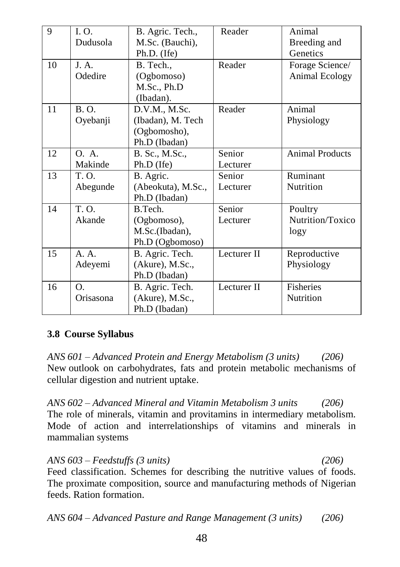| 9  | I. O.     | B. Agric. Tech.,   | Reader      | Animal                 |
|----|-----------|--------------------|-------------|------------------------|
|    | Dudusola  | M.Sc. (Bauchi),    |             | Breeding and           |
|    |           | Ph.D. (Ife)        |             | Genetics               |
| 10 | I. A.     | B. Tech.,          | Reader      | Forage Science/        |
|    | Odedire   | (Ogbomoso)         |             | Animal Ecology         |
|    |           | M.Sc., Ph.D        |             |                        |
|    |           | (Ibadan).          |             |                        |
| 11 | B. O.     | D.V.M., M.Sc.      | Reader      | Animal                 |
|    | Oyebanji  | (Ibadan), M. Tech  |             | Physiology             |
|    |           | (Ogbomosho),       |             |                        |
|    |           | Ph.D (Ibadan)      |             |                        |
| 12 | O. A.     | B. Sc., M.Sc.,     | Senior      | <b>Animal Products</b> |
|    | Makinde   | Ph.D (Ife)         | Lecturer    |                        |
| 13 | T. O.     | B. Agric.          | Senior      | Ruminant               |
|    | Abegunde  | (Abeokuta), M.Sc., | Lecturer    | Nutrition              |
|    |           | Ph.D (Ibadan)      |             |                        |
| 14 | T. O.     | B.Tech.            | Senior      | Poultry                |
|    | Akande    | (Ogbomoso),        | Lecturer    | Nutrition/Toxico       |
|    |           | M.Sc.(Ibadan),     |             | logy                   |
|    |           | Ph.D (Ogbomoso)    |             |                        |
| 15 | A. A.     | B. Agric. Tech.    | Lecturer II | Reproductive           |
|    | Adeyemi   | $(Akure)$ , M.Sc., |             | Physiology             |
|    |           | Ph.D (Ibadan)      |             |                        |
| 16 | Ο.        | B. Agric. Tech.    | Lecturer II | Fisheries              |
|    | Orisasona | (Akure), M.Sc.,    |             | Nutrition              |
|    |           | Ph.D (Ibadan)      |             |                        |

#### **3.8 Course Syllabus**

*ANS 601 – Advanced Protein and Energy Metabolism (3 units) (206)* New outlook on carbohydrates, fats and protein metabolic mechanisms of cellular digestion and nutrient uptake.

*ANS 602 – Advanced Mineral and Vitamin Metabolism 3 units (206)* The role of minerals, vitamin and provitamins in intermediary metabolism. Mode of action and interrelationships of vitamins and minerals in mammalian systems

*ANS 603 – Feedstuffs (3 units) (206)* Feed classification. Schemes for describing the nutritive values of foods. The proximate composition, source and manufacturing methods of Nigerian feeds. Ration formation.

*ANS 604 – Advanced Pasture and Range Management (3 units) (206)*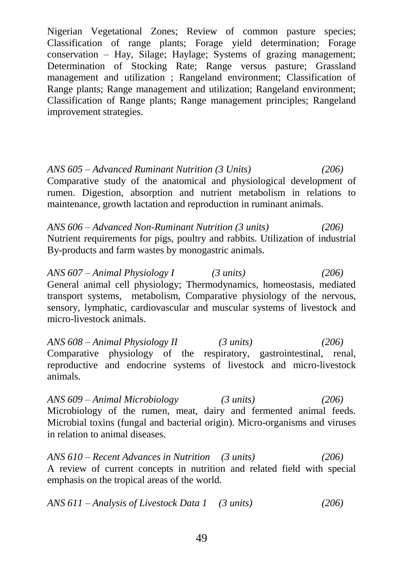Nigerian Vegetational Zones; Review of common pasture species; Classification of range plants; Forage yield determination; Forage conservation – Hay, Silage; Haylage; Systems of grazing management; Determination of Stocking Rate; Range versus pasture; Grassland management and utilization ; Rangeland environment; Classification of Range plants; Range management and utilization; Rangeland environment; Classification of Range plants; Range management principles; Rangeland improvement strategies.

*ANS 605 – Advanced Ruminant Nutrition (3 Units) (206)* Comparative study of the anatomical and physiological development of rumen. Digestion, absorption and nutrient metabolism in relations to maintenance, growth lactation and reproduction in ruminant animals.

*ANS 606 – Advanced Non-Ruminant Nutrition (3 units) (206)* Nutrient requirements for pigs, poultry and rabbits. Utilization of industrial By-products and farm wastes by monogastric animals.

*ANS 607 – Animal Physiology I (3 units) (206)* General animal cell physiology; Thermodynamics, homeostasis, mediated transport systems, metabolism, Comparative physiology of the nervous, sensory, lymphatic, cardiovascular and muscular systems of livestock and micro-livestock animals.

*ANS 608 – Animal Physiology II (3 units) (206)* Comparative physiology of the respiratory, gastrointestinal, renal, reproductive and endocrine systems of livestock and micro-livestock animals.

*ANS 609 – Animal Microbiology (3 units) (206)* Microbiology of the rumen, meat, dairy and fermented animal feeds. Microbial toxins (fungal and bacterial origin). Micro-organisms and viruses in relation to animal diseases.

*ANS 610 – Recent Advances in Nutrition (3 units) (206)* A review of current concepts in nutrition and related field with special emphasis on the tropical areas of the world.

*ANS 611 – Analysis of Livestock Data 1 (3 units) (206)*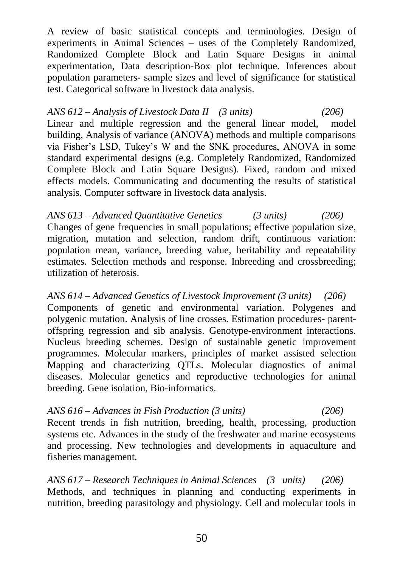A review of basic statistical concepts and terminologies. Design of experiments in Animal Sciences – uses of the Completely Randomized, Randomized Complete Block and Latin Square Designs in animal experimentation, Data description-Box plot technique. Inferences about population parameters- sample sizes and level of significance for statistical test. Categorical software in livestock data analysis.

*ANS 612 – Analysis of Livestock Data II (3 units) (206)* Linear and multiple regression and the general linear model, model building, Analysis of variance (ANOVA) methods and multiple comparisons via Fisher's LSD, Tukey's W and the SNK procedures, ANOVA in some standard experimental designs (e.g. Completely Randomized, Randomized Complete Block and Latin Square Designs). Fixed, random and mixed effects models. Communicating and documenting the results of statistical analysis. Computer software in livestock data analysis.

*ANS 613 – Advanced Quantitative Genetics (3 units) (206)* Changes of gene frequencies in small populations; effective population size, migration, mutation and selection, random drift, continuous variation: population mean, variance, breeding value, heritability and repeatability estimates. Selection methods and response. Inbreeding and crossbreeding; utilization of heterosis.

*ANS 614 – Advanced Genetics of Livestock Improvement (3 units) (206)* Components of genetic and environmental variation. Polygenes and polygenic mutation. Analysis of line crosses. Estimation procedures- parentoffspring regression and sib analysis. Genotype-environment interactions. Nucleus breeding schemes. Design of sustainable genetic improvement programmes. Molecular markers, principles of market assisted selection Mapping and characterizing QTLs. Molecular diagnostics of animal diseases. Molecular genetics and reproductive technologies for animal breeding. Gene isolation, Bio-informatics.

*ANS 616 – Advances in Fish Production (3 units) (206)* Recent trends in fish nutrition, breeding, health, processing, production systems etc. Advances in the study of the freshwater and marine ecosystems and processing. New technologies and developments in aquaculture and fisheries management.

*ANS 617 – Research Techniques in Animal Sciences (3 units) (206)* Methods, and techniques in planning and conducting experiments in nutrition, breeding parasitology and physiology. Cell and molecular tools in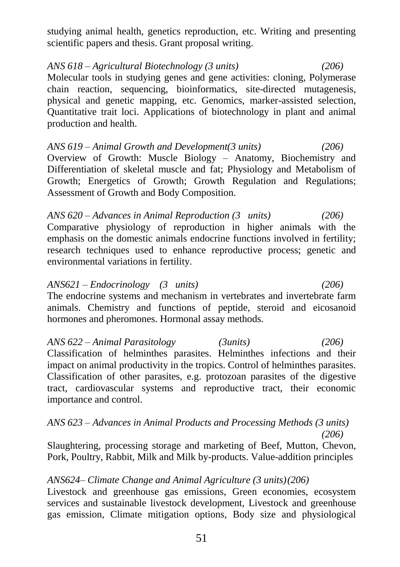studying animal health, genetics reproduction, etc. Writing and presenting scientific papers and thesis. Grant proposal writing.

*ANS 618 – Agricultural Biotechnology (3 units) (206)* Molecular tools in studying genes and gene activities: cloning, Polymerase chain reaction, sequencing, bioinformatics, site-directed mutagenesis, physical and genetic mapping, etc. Genomics, marker-assisted selection, Quantitative trait loci. Applications of biotechnology in plant and animal production and health.

*ANS 619 – Animal Growth and Development(3 units) (206)* Overview of Growth: Muscle Biology – Anatomy, Biochemistry and Differentiation of skeletal muscle and fat; Physiology and Metabolism of Growth; Energetics of Growth; Growth Regulation and Regulations; Assessment of Growth and Body Composition.

*ANS 620 – Advances in Animal Reproduction (3 units) (206)* Comparative physiology of reproduction in higher animals with the emphasis on the domestic animals endocrine functions involved in fertility; research techniques used to enhance reproductive process; genetic and environmental variations in fertility.

*ANS621 – Endocrinology (3 units) (206)* The endocrine systems and mechanism in vertebrates and invertebrate farm animals. Chemistry and functions of peptide, steroid and eicosanoid hormones and pheromones. Hormonal assay methods.

*ANS 622 – Animal Parasitology (3units) (206)* Classification of helminthes parasites. Helminthes infections and their impact on animal productivity in the tropics. Control of helminthes parasites. Classification of other parasites, e.g. protozoan parasites of the digestive tract, cardiovascular systems and reproductive tract, their economic importance and control.

#### *ANS 623 – Advances in Animal Products and Processing Methods (3 units) (206)*

Slaughtering, processing storage and marketing of Beef, Mutton, Chevon, Pork, Poultry, Rabbit, Milk and Milk by-products. Value-addition principles

#### *ANS624– Climate Change and Animal Agriculture (3 units)(206)*

Livestock and greenhouse gas emissions, Green economies, ecosystem services and sustainable livestock development, Livestock and greenhouse gas emission, Climate mitigation options, Body size and physiological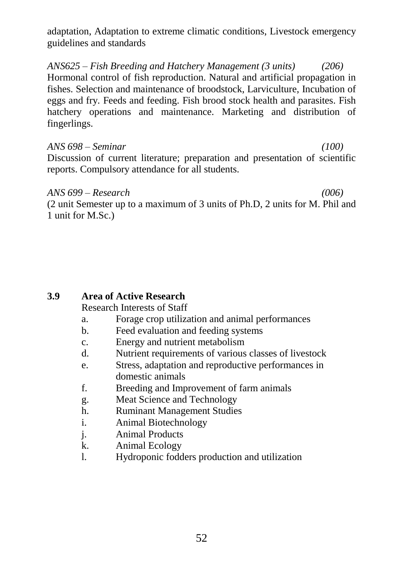adaptation, Adaptation to extreme climatic conditions, Livestock emergency guidelines and standards

*ANS625 – Fish Breeding and Hatchery Management (3 units) (206)* Hormonal control of fish reproduction. Natural and artificial propagation in fishes. Selection and maintenance of broodstock, Larviculture, Incubation of eggs and fry. Feeds and feeding. Fish brood stock health and parasites. Fish hatchery operations and maintenance. Marketing and distribution of fingerlings.

#### *ANS 698 – Seminar (100)*

Discussion of current literature; preparation and presentation of scientific reports. Compulsory attendance for all students.

#### *ANS 699 – Research (006)*

(2 unit Semester up to a maximum of 3 units of Ph.D, 2 units for M. Phil and 1 unit for M.Sc.)

#### **3.9 Area of Active Research**

Research Interests of Staff

- a. Forage crop utilization and animal performances
- b. Feed evaluation and feeding systems
- c. Energy and nutrient metabolism
- d. Nutrient requirements of various classes of livestock
- e. Stress, adaptation and reproductive performances in domestic animals
- f. Breeding and Improvement of farm animals
- g. Meat Science and Technology
- h. Ruminant Management Studies
- i. Animal Biotechnology
- j. Animal Products
- k. Animal Ecology
- l. Hydroponic fodders production and utilization